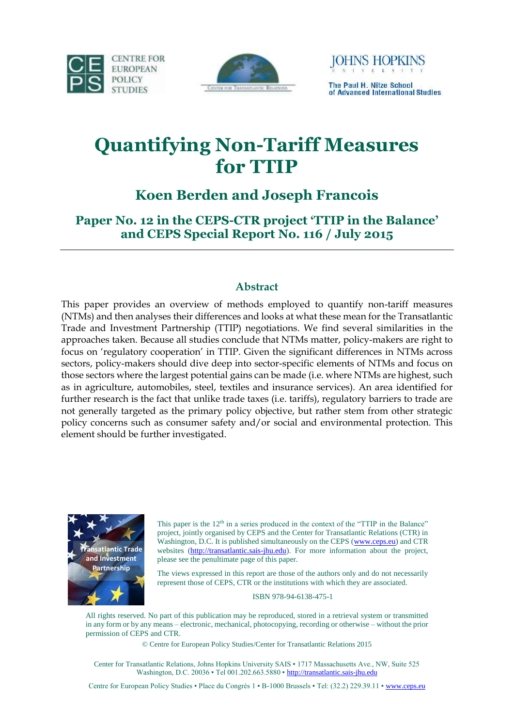





# **Quantifying Non-Tariff Measures for TTIP**

## **Koen Berden and Joseph Francois**

**Paper No. 12 in the CEPS-CTR project 'TTIP in the Balance' and CEPS Special Report No. 116 / July 2015**

## **Abstract**

This paper provides an overview of methods employed to quantify non-tariff measures (NTMs) and then analyses their differences and looks at what these mean for the Transatlantic Trade and Investment Partnership (TTIP) negotiations. We find several similarities in the approaches taken. Because all studies conclude that NTMs matter, policy-makers are right to focus on 'regulatory cooperation' in TTIP. Given the significant differences in NTMs across sectors, policy-makers should dive deep into sector-specific elements of NTMs and focus on those sectors where the largest potential gains can be made (i.e. where NTMs are highest, such as in agriculture, automobiles, steel, textiles and insurance services). An area identified for further research is the fact that unlike trade taxes (i.e. tariffs), regulatory barriers to trade are not generally targeted as the primary policy objective, but rather stem from other strategic policy concerns such as consumer safety and/or social and environmental protection. This element should be further investigated.



This paper is the  $12<sup>th</sup>$  in a series produced in the context of the "TTIP in the Balance" project, jointly organised by CEPS and the Center for Transatlantic Relations (CTR) in Washington, D.C. It is published simultaneously on the CEPS [\(www.ceps.eu\)](http://www.ceps.eu/) and CTR websites [\(http://transatlantic.sais-jhu.edu\)](http://transatlantic.sais-jhu.edu/). For more information about the project, please see the penultimate page of this paper.

The views expressed in this report are those of the authors only and do not necessarily represent those of CEPS, CTR or the institutions with which they are associated.

ISBN 978-94-6138-475-1

All rights reserved. No part of this publication may be reproduced, stored in a retrieval system or transmitted in any form or by any means – electronic, mechanical, photocopying, recording or otherwise – without the prior permission of CEPS and CTR.

© Centre for European Policy Studies/Center for Transatlantic Relations 2015

Center for Transatlantic Relations, Johns Hopkins University SAIS · 1717 Massachusetts Ave., NW, Suite 525 Washington, D.C. 20036 • Tel 001.202.663.5880 • http://transatlantic.sais-jhu.edu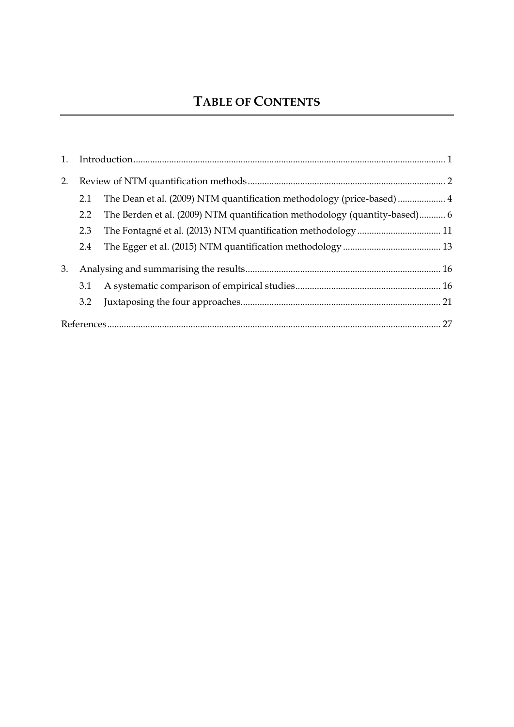# **TABLE OF CONTENTS**

| 2. |     |                                                                            |  |
|----|-----|----------------------------------------------------------------------------|--|
|    | 2.1 | The Dean et al. (2009) NTM quantification methodology (price-based)  4     |  |
|    | 2.2 | The Berden et al. (2009) NTM quantification methodology (quantity-based) 6 |  |
|    | 2.3 |                                                                            |  |
|    | 2.4 |                                                                            |  |
| 3. |     |                                                                            |  |
|    | 3.1 |                                                                            |  |
|    | 3.2 |                                                                            |  |
|    |     |                                                                            |  |
|    |     |                                                                            |  |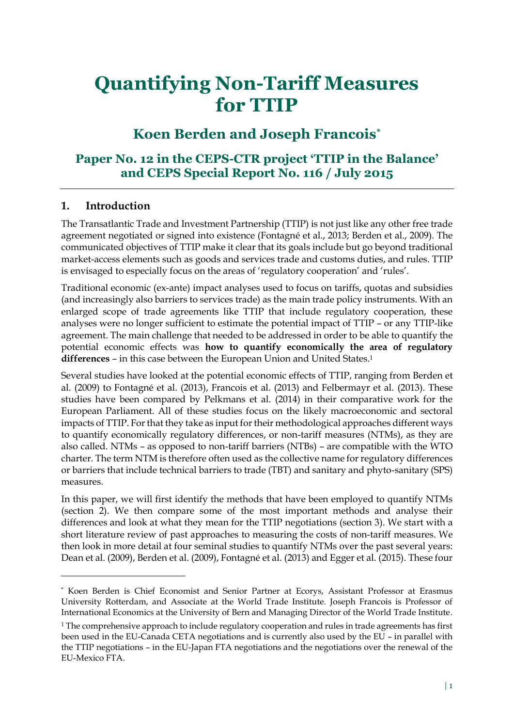# **Quantifying Non-Tariff Measures for TTIP**

## **Koen Berden and Joseph Francois\***

## **Paper No. 12 in the CEPS-CTR project 'TTIP in the Balance' and CEPS Special Report No. 116 / July 2015**

## <span id="page-2-0"></span>**1. Introduction**

 $\overline{a}$ 

The Transatlantic Trade and Investment Partnership (TTIP) is not just like any other free trade agreement negotiated or signed into existence (Fontagné et al., 2013; Berden et al., 2009). The communicated objectives of TTIP make it clear that its goals include but go beyond traditional market-access elements such as goods and services trade and customs duties, and rules. TTIP is envisaged to especially focus on the areas of 'regulatory cooperation' and 'rules'.

Traditional economic (ex-ante) impact analyses used to focus on tariffs, quotas and subsidies (and increasingly also barriers to services trade) as the main trade policy instruments. With an enlarged scope of trade agreements like TTIP that include regulatory cooperation, these analyses were no longer sufficient to estimate the potential impact of TTIP – or any TTIP-like agreement. The main challenge that needed to be addressed in order to be able to quantify the potential economic effects was **how to quantify economically the area of regulatory**  differences – in this case between the European Union and United States.<sup>1</sup>

Several studies have looked at the potential economic effects of TTIP, ranging from Berden et al. (2009) to Fontagné et al. (2013), Francois et al. (2013) and Felbermayr et al. (2013). These studies have been compared by Pelkmans et al. (2014) in their comparative work for the European Parliament. All of these studies focus on the likely macroeconomic and sectoral impacts of TTIP. For that they take as input for their methodological approaches different ways to quantify economically regulatory differences, or non-tariff measures (NTMs), as they are also called. NTMs – as opposed to non-tariff barriers (NTBs) – are compatible with the WTO charter. The term NTM is therefore often used as the collective name for regulatory differences or barriers that include technical barriers to trade (TBT) and sanitary and phyto-sanitary (SPS) measures.

In this paper, we will first identify the methods that have been employed to quantify NTMs (section 2). We then compare some of the most important methods and analyse their differences and look at what they mean for the TTIP negotiations (section 3). We start with a short literature review of past approaches to measuring the costs of non-tariff measures. We then look in more detail at four seminal studies to quantify NTMs over the past several years: Dean et al. (2009), Berden et al. (2009), Fontagné et al. (2013) and Egger et al. (2015). These four

<sup>\*</sup> Koen Berden is Chief Economist and Senior Partner at Ecorys, Assistant Professor at Erasmus University Rotterdam, and Associate at the World Trade Institute. Joseph Francois is Professor of International Economics at the University of Bern and Managing Director of the World Trade Institute.

<sup>&</sup>lt;sup>1</sup> The comprehensive approach to include regulatory cooperation and rules in trade agreements has first been used in the EU-Canada CETA negotiations and is currently also used by the EU – in parallel with the TTIP negotiations – in the EU-Japan FTA negotiations and the negotiations over the renewal of the EU-Mexico FTA.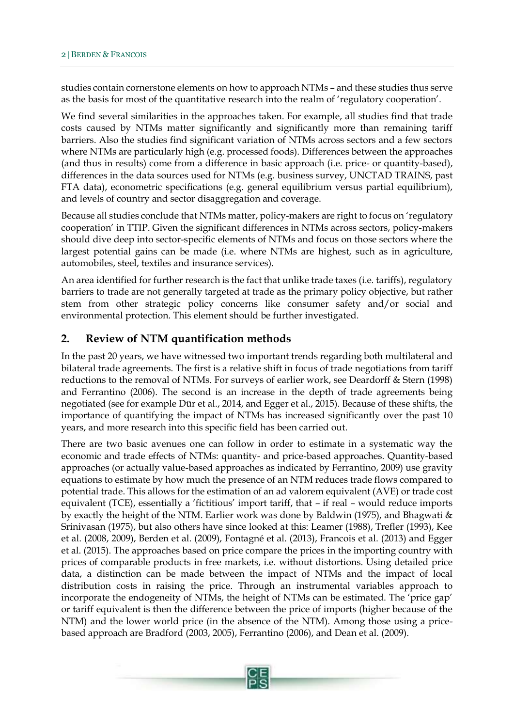studies contain cornerstone elements on how to approach NTMs – and these studies thus serve as the basis for most of the quantitative research into the realm of 'regulatory cooperation'.

We find several similarities in the approaches taken. For example, all studies find that trade costs caused by NTMs matter significantly and significantly more than remaining tariff barriers. Also the studies find significant variation of NTMs across sectors and a few sectors where NTMs are particularly high (e.g. processed foods). Differences between the approaches (and thus in results) come from a difference in basic approach (i.e. price- or quantity-based), differences in the data sources used for NTMs (e.g. business survey, UNCTAD TRAINS, past FTA data), econometric specifications (e.g. general equilibrium versus partial equilibrium), and levels of country and sector disaggregation and coverage.

Because all studies conclude that NTMs matter, policy-makers are right to focus on 'regulatory cooperation' in TTIP. Given the significant differences in NTMs across sectors, policy-makers should dive deep into sector-specific elements of NTMs and focus on those sectors where the largest potential gains can be made (i.e. where NTMs are highest, such as in agriculture, automobiles, steel, textiles and insurance services).

An area identified for further research is the fact that unlike trade taxes (i.e. tariffs), regulatory barriers to trade are not generally targeted at trade as the primary policy objective, but rather stem from other strategic policy concerns like consumer safety and/or social and environmental protection. This element should be further investigated.

## <span id="page-3-0"></span>**2. Review of NTM quantification methods**

In the past 20 years, we have witnessed two important trends regarding both multilateral and bilateral trade agreements. The first is a relative shift in focus of trade negotiations from tariff reductions to the removal of NTMs. For surveys of earlier work, see Deardorff & Stern (1998) and Ferrantino (2006). The second is an increase in the depth of trade agreements being negotiated (see for example Dür et al., 2014, and Egger et al., 2015). Because of these shifts, the importance of quantifying the impact of NTMs has increased significantly over the past 10 years, and more research into this specific field has been carried out.

There are two basic avenues one can follow in order to estimate in a systematic way the economic and trade effects of NTMs: quantity- and price-based approaches. Quantity-based approaches (or actually value-based approaches as indicated by Ferrantino, 2009) use gravity equations to estimate by how much the presence of an NTM reduces trade flows compared to potential trade. This allows for the estimation of an ad valorem equivalent (AVE) or trade cost equivalent (TCE), essentially a 'fictitious' import tariff, that – if real – would reduce imports by exactly the height of the NTM. Earlier work was done by Baldwin (1975), and Bhagwati & Srinivasan (1975), but also others have since looked at this: Leamer (1988), Trefler (1993), Kee et al. (2008, 2009), Berden et al. (2009), Fontagné et al. (2013), Francois et al. (2013) and Egger et al. (2015). The approaches based on price compare the prices in the importing country with prices of comparable products in free markets, i.e. without distortions. Using detailed price data, a distinction can be made between the impact of NTMs and the impact of local distribution costs in raising the price. Through an instrumental variables approach to incorporate the endogeneity of NTMs, the height of NTMs can be estimated. The 'price gap' or tariff equivalent is then the difference between the price of imports (higher because of the NTM) and the lower world price (in the absence of the NTM). Among those using a pricebased approach are Bradford (2003, 2005), Ferrantino (2006), and Dean et al. (2009).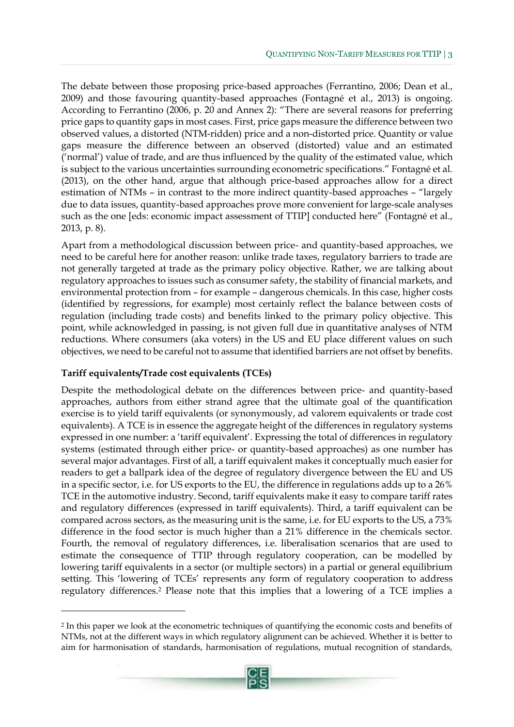The debate between those proposing price-based approaches (Ferrantino, 2006; Dean et al., 2009) and those favouring quantity-based approaches (Fontagné et al., 2013) is ongoing. According to Ferrantino (2006, p. 20 and Annex 2): "There are several reasons for preferring price gaps to quantity gaps in most cases. First, price gaps measure the difference between two observed values, a distorted (NTM-ridden) price and a non-distorted price. Quantity or value gaps measure the difference between an observed (distorted) value and an estimated ('normal') value of trade, and are thus influenced by the quality of the estimated value, which is subject to the various uncertainties surrounding econometric specifications." Fontagné et al. (2013), on the other hand, argue that although price-based approaches allow for a direct estimation of NTMs – in contrast to the more indirect quantity-based approaches – "largely due to data issues, quantity-based approaches prove more convenient for large-scale analyses such as the one [eds: economic impact assessment of TTIP] conducted here" (Fontagné et al., 2013, p. 8).

Apart from a methodological discussion between price- and quantity-based approaches, we need to be careful here for another reason: unlike trade taxes, regulatory barriers to trade are not generally targeted at trade as the primary policy objective. Rather, we are talking about regulatory approaches to issues such as consumer safety, the stability of financial markets, and environmental protection from – for example – dangerous chemicals. In this case, higher costs (identified by regressions, for example) most certainly reflect the balance between costs of regulation (including trade costs) and benefits linked to the primary policy objective. This point, while acknowledged in passing, is not given full due in quantitative analyses of NTM reductions. Where consumers (aka voters) in the US and EU place different values on such objectives, we need to be careful not to assume that identified barriers are not offset by benefits.

#### **Tariff equivalents/Trade cost equivalents (TCEs)**

 $\overline{a}$ 

Despite the methodological debate on the differences between price- and quantity-based approaches, authors from either strand agree that the ultimate goal of the quantification exercise is to yield tariff equivalents (or synonymously, ad valorem equivalents or trade cost equivalents). A TCE is in essence the aggregate height of the differences in regulatory systems expressed in one number: a 'tariff equivalent'. Expressing the total of differences in regulatory systems (estimated through either price- or quantity-based approaches) as one number has several major advantages. First of all, a tariff equivalent makes it conceptually much easier for readers to get a ballpark idea of the degree of regulatory divergence between the EU and US in a specific sector, i.e. for US exports to the EU, the difference in regulations adds up to a 26% TCE in the automotive industry. Second, tariff equivalents make it easy to compare tariff rates and regulatory differences (expressed in tariff equivalents). Third, a tariff equivalent can be compared across sectors, as the measuring unit is the same, i.e. for EU exports to the US, a 73% difference in the food sector is much higher than a 21% difference in the chemicals sector. Fourth, the removal of regulatory differences, i.e. liberalisation scenarios that are used to estimate the consequence of TTIP through regulatory cooperation, can be modelled by lowering tariff equivalents in a sector (or multiple sectors) in a partial or general equilibrium setting. This 'lowering of TCEs' represents any form of regulatory cooperation to address regulatory differences.<sup>2</sup> Please note that this implies that a lowering of a TCE implies a

<sup>2</sup> In this paper we look at the econometric techniques of quantifying the economic costs and benefits of NTMs, not at the different ways in which regulatory alignment can be achieved. Whether it is better to aim for harmonisation of standards, harmonisation of regulations, mutual recognition of standards,

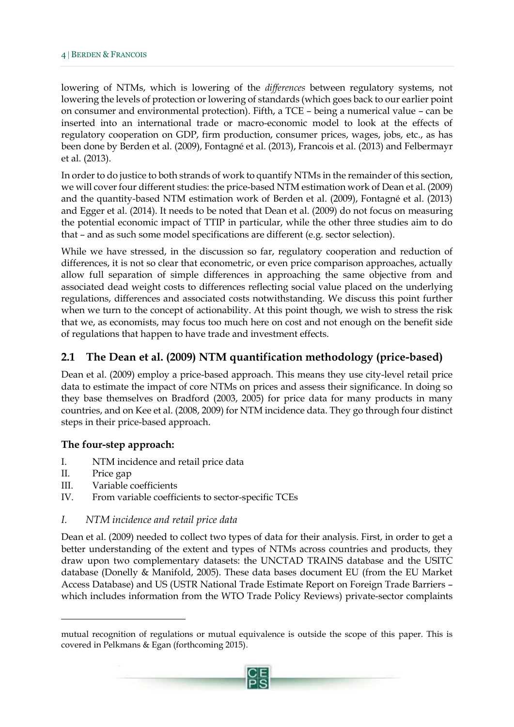lowering of NTMs, which is lowering of the *differences* between regulatory systems, not lowering the levels of protection or lowering of standards (which goes back to our earlier point on consumer and environmental protection). Fifth, a TCE – being a numerical value – can be inserted into an international trade or macro-economic model to look at the effects of regulatory cooperation on GDP, firm production, consumer prices, wages, jobs, etc., as has been done by Berden et al. (2009), Fontagné et al. (2013), Francois et al. (2013) and Felbermayr et al. (2013).

In order to do justice to both strands of work to quantify NTMs in the remainder of this section, we will cover four different studies: the price-based NTM estimation work of Dean et al. (2009) and the quantity-based NTM estimation work of Berden et al. (2009), Fontagné et al. (2013) and Egger et al. (2014). It needs to be noted that Dean et al. (2009) do not focus on measuring the potential economic impact of TTIP in particular, while the other three studies aim to do that – and as such some model specifications are different (e.g. sector selection).

While we have stressed, in the discussion so far, regulatory cooperation and reduction of differences, it is not so clear that econometric, or even price comparison approaches, actually allow full separation of simple differences in approaching the same objective from and associated dead weight costs to differences reflecting social value placed on the underlying regulations, differences and associated costs notwithstanding. We discuss this point further when we turn to the concept of actionability. At this point though, we wish to stress the risk that we, as economists, may focus too much here on cost and not enough on the benefit side of regulations that happen to have trade and investment effects.

## <span id="page-5-0"></span>**2.1 The Dean et al. (2009) NTM quantification methodology (price-based)**

Dean et al. (2009) employ a price-based approach. This means they use city-level retail price data to estimate the impact of core NTMs on prices and assess their significance. In doing so they base themselves on Bradford (2003, 2005) for price data for many products in many countries, and on Kee et al. (2008, 2009) for NTM incidence data. They go through four distinct steps in their price-based approach.

#### **The four-step approach:**

- I. NTM incidence and retail price data
- II. Price gap

 $\overline{a}$ 

- III. Variable coefficients
- IV. From variable coefficients to sector-specific TCEs

#### *I. NTM incidence and retail price data*

Dean et al. (2009) needed to collect two types of data for their analysis. First, in order to get a better understanding of the extent and types of NTMs across countries and products, they draw upon two complementary datasets: the UNCTAD TRAINS database and the USITC database (Donelly & Manifold, 2005). These data bases document EU (from the EU Market Access Database) and US (USTR National Trade Estimate Report on Foreign Trade Barriers – which includes information from the WTO Trade Policy Reviews) private-sector complaints

mutual recognition of regulations or mutual equivalence is outside the scope of this paper. This is covered in Pelkmans & Egan (forthcoming 2015).

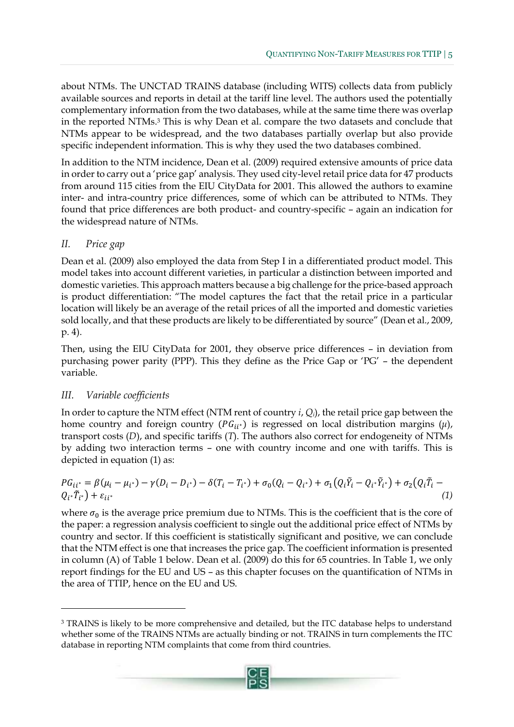about NTMs. The UNCTAD TRAINS database (including WITS) collects data from publicly available sources and reports in detail at the tariff line level. The authors used the potentially complementary information from the two databases, while at the same time there was overlap in the reported NTMs.<sup>3</sup> This is why Dean et al. compare the two datasets and conclude that NTMs appear to be widespread, and the two databases partially overlap but also provide specific independent information. This is why they used the two databases combined.

In addition to the NTM incidence, Dean et al. (2009) required extensive amounts of price data in order to carry out a 'price gap' analysis. They used city-level retail price data for 47 products from around 115 cities from the EIU CityData for 2001. This allowed the authors to examine inter- and intra-country price differences, some of which can be attributed to NTMs. They found that price differences are both product- and country-specific – again an indication for the widespread nature of NTMs.

## *II. Price gap*

Dean et al. (2009) also employed the data from Step I in a differentiated product model. This model takes into account different varieties, in particular a distinction between imported and domestic varieties. This approach matters because a big challenge for the price-based approach is product differentiation: "The model captures the fact that the retail price in a particular location will likely be an average of the retail prices of all the imported and domestic varieties sold locally, and that these products are likely to be differentiated by source" (Dean et al., 2009, p. 4).

Then, using the EIU CityData for 2001, they observe price differences – in deviation from purchasing power parity (PPP). This they define as the Price Gap or 'PG' – the dependent variable.

## *III. Variable coefficients*

 $\overline{a}$ 

In order to capture the NTM effect (NTM rent of country *i*, *Qi*), the retail price gap between the home country and foreign country  $(PG_{ii^*})$  is regressed on local distribution margins  $(\mu)$ , transport costs (*D*), and specific tariffs (*T*). The authors also correct for endogeneity of NTMs by adding two interaction terms – one with country income and one with tariffs. This is depicted in equation (1) as:

$$
PG_{ii^*} = \beta(\mu_i - \mu_{i^*}) - \gamma(D_i - D_{i^*}) - \delta(T_i - T_{i^*}) + \sigma_0(Q_i - Q_{i^*}) + \sigma_1(Q_i\tilde{Y}_i - Q_{i^*}\tilde{Y}_{i^*}) + \sigma_2(Q_i\tilde{T}_i - Q_{i^*}\tilde{T}_{i^*}) + \epsilon_{ii^*}
$$
\n(1)

where  $\sigma_0$  is the average price premium due to NTMs. This is the coefficient that is the core of the paper: a regression analysis coefficient to single out the additional price effect of NTMs by country and sector. If this coefficient is statistically significant and positive, we can conclude that the NTM effect is one that increases the price gap. The coefficient information is presented in column (A) of Table 1 below. Dean et al. (2009) do this for 65 countries. In Table 1, we only report findings for the EU and US – as this chapter focuses on the quantification of NTMs in the area of TTIP, hence on the EU and US.

<sup>&</sup>lt;sup>3</sup> TRAINS is likely to be more comprehensive and detailed, but the ITC database helps to understand whether some of the TRAINS NTMs are actually binding or not. TRAINS in turn complements the ITC database in reporting NTM complaints that come from third countries.

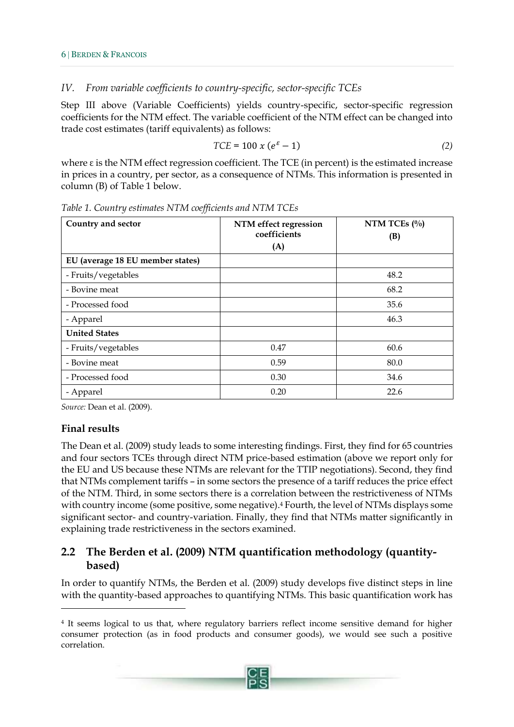## *IV. From variable coefficients to country-specific, sector-specific TCEs*

Step III above (Variable Coefficients) yields country-specific, sector-specific regression coefficients for the NTM effect. The variable coefficient of the NTM effect can be changed into trade cost estimates (tariff equivalents) as follows:

$$
TCE = 100 \times (e^{\varepsilon} - 1) \tag{2}
$$

where  $\varepsilon$  is the NTM effect regression coefficient. The TCE (in percent) is the estimated increase in prices in a country, per sector, as a consequence of NTMs. This information is presented in column (B) of Table 1 below.

| Country and sector               | NTM effect regression<br>coefficients<br>(A) | NTM TCEs $(\%)$<br>(B) |
|----------------------------------|----------------------------------------------|------------------------|
| EU (average 18 EU member states) |                                              |                        |
| - Fruits/vegetables              |                                              | 48.2                   |
| - Bovine meat                    |                                              | 68.2                   |
| - Processed food                 |                                              | 35.6                   |
| - Apparel                        |                                              | 46.3                   |
| <b>United States</b>             |                                              |                        |
| - Fruits/vegetables              | 0.47                                         | 60.6                   |
| - Bovine meat                    | 0.59                                         | 80.0                   |
| - Processed food                 | 0.30                                         | 34.6                   |
| - Apparel                        | 0.20                                         | 22.6                   |

*Table 1. Country estimates NTM coefficients and NTM TCEs* 

*Source:* Dean et al. (2009).

## **Final results**

 $\overline{a}$ 

The Dean et al. (2009) study leads to some interesting findings. First, they find for 65 countries and four sectors TCEs through direct NTM price-based estimation (above we report only for the EU and US because these NTMs are relevant for the TTIP negotiations). Second, they find that NTMs complement tariffs – in some sectors the presence of a tariff reduces the price effect of the NTM. Third, in some sectors there is a correlation between the restrictiveness of NTMs with country income (some positive, some negative).<sup>4</sup> Fourth, the level of NTMs displays some significant sector- and country-variation. Finally, they find that NTMs matter significantly in explaining trade restrictiveness in the sectors examined.

## <span id="page-7-0"></span>**2.2 The Berden et al. (2009) NTM quantification methodology (quantitybased)**

In order to quantify NTMs, the Berden et al. (2009) study develops five distinct steps in line with the quantity-based approaches to quantifying NTMs. This basic quantification work has

<sup>4</sup> It seems logical to us that, where regulatory barriers reflect income sensitive demand for higher consumer protection (as in food products and consumer goods), we would see such a positive correlation.

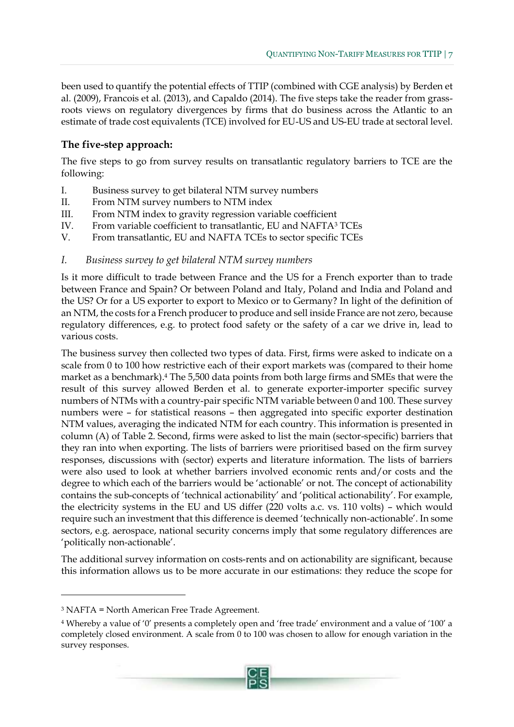been used to quantify the potential effects of TTIP (combined with CGE analysis) by Berden et al. (2009), Francois et al. (2013), and Capaldo (2014). The five steps take the reader from grassroots views on regulatory divergences by firms that do business across the Atlantic to an estimate of trade cost equivalents (TCE) involved for EU-US and US-EU trade at sectoral level.

## **The five-step approach:**

The five steps to go from survey results on transatlantic regulatory barriers to TCE are the following:

- I. Business survey to get bilateral NTM survey numbers
- II. From NTM survey numbers to NTM index
- III. From NTM index to gravity regression variable coefficient
- IV. From variable coefficient to transatlantic, EU and NAFTA<sup>3</sup> TCEs
- V. From transatlantic, EU and NAFTA TCEs to sector specific TCEs

## *I. Business survey to get bilateral NTM survey numbers*

Is it more difficult to trade between France and the US for a French exporter than to trade between France and Spain? Or between Poland and Italy, Poland and India and Poland and the US? Or for a US exporter to export to Mexico or to Germany? In light of the definition of an NTM, the costs for a French producer to produce and sell inside France are not zero, because regulatory differences, e.g. to protect food safety or the safety of a car we drive in, lead to various costs.

The business survey then collected two types of data. First, firms were asked to indicate on a scale from 0 to 100 how restrictive each of their export markets was (compared to their home market as a benchmark).<sup>4</sup> The 5,500 data points from both large firms and SMEs that were the result of this survey allowed Berden et al. to generate exporter-importer specific survey numbers of NTMs with a country-pair specific NTM variable between 0 and 100. These survey numbers were – for statistical reasons – then aggregated into specific exporter destination NTM values, averaging the indicated NTM for each country. This information is presented in column (A) of Table 2. Second, firms were asked to list the main (sector-specific) barriers that they ran into when exporting. The lists of barriers were prioritised based on the firm survey responses, discussions with (sector) experts and literature information. The lists of barriers were also used to look at whether barriers involved economic rents and/or costs and the degree to which each of the barriers would be 'actionable' or not. The concept of actionability contains the sub-concepts of 'technical actionability' and 'political actionability'. For example, the electricity systems in the EU and US differ (220 volts a.c. vs. 110 volts) – which would require such an investment that this difference is deemed 'technically non-actionable'. In some sectors, e.g. aerospace, national security concerns imply that some regulatory differences are 'politically non-actionable'.

The additional survey information on costs-rents and on actionability are significant, because this information allows us to be more accurate in our estimations: they reduce the scope for

 $\overline{a}$ 

<sup>4</sup> Whereby a value of '0' presents a completely open and 'free trade' environment and a value of '100' a completely closed environment. A scale from 0 to 100 was chosen to allow for enough variation in the survey responses.



<sup>3</sup> NAFTA = North American Free Trade Agreement.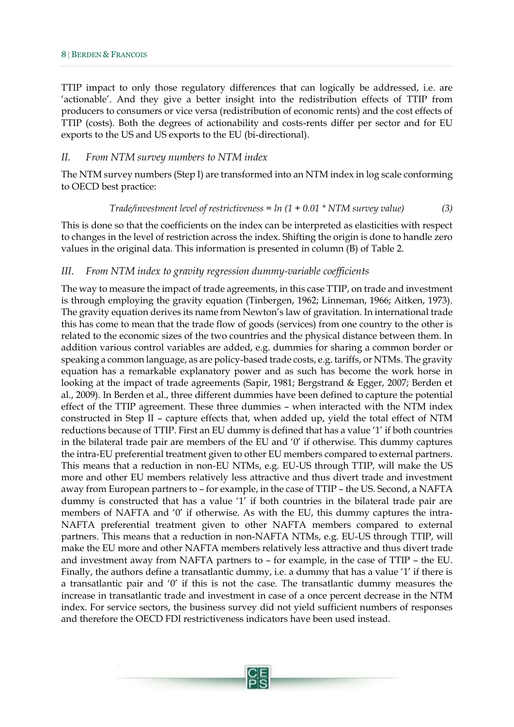TTIP impact to only those regulatory differences that can logically be addressed, i.e. are 'actionable'. And they give a better insight into the redistribution effects of TTIP from producers to consumers or vice versa (redistribution of economic rents) and the cost effects of TTIP (costs). Both the degrees of actionability and costs-rents differ per sector and for EU exports to the US and US exports to the EU (bi-directional).

#### *II. From NTM survey numbers to NTM index*

The NTM survey numbers (Step I) are transformed into an NTM index in log scale conforming to OECD best practice:

$$
Trade/investment level of restrictiveness = ln (1 + 0.01 * NTM survey value)
$$
 (3)

This is done so that the coefficients on the index can be interpreted as elasticities with respect to changes in the level of restriction across the index. Shifting the origin is done to handle zero values in the original data. This information is presented in column (B) of Table 2.

#### *III. From NTM index to gravity regression dummy-variable coefficients*

The way to measure the impact of trade agreements, in this case TTIP, on trade and investment is through employing the gravity equation (Tinbergen, 1962; Linneman, 1966; Aitken, 1973). The gravity equation derives its name from Newton's law of gravitation. In international trade this has come to mean that the trade flow of goods (services) from one country to the other is related to the economic sizes of the two countries and the physical distance between them. In addition various control variables are added, e.g. dummies for sharing a common border or speaking a common language, as are policy-based trade costs, e.g. tariffs, or NTMs. The gravity equation has a remarkable explanatory power and as such has become the work horse in looking at the impact of trade agreements (Sapir, 1981; Bergstrand & Egger, 2007; Berden et al., 2009). In Berden et al., three different dummies have been defined to capture the potential effect of the TTIP agreement. These three dummies – when interacted with the NTM index constructed in Step II – capture effects that, when added up, yield the total effect of NTM reductions because of TTIP. First an EU dummy is defined that has a value '1' if both countries in the bilateral trade pair are members of the EU and '0' if otherwise. This dummy captures the intra-EU preferential treatment given to other EU members compared to external partners. This means that a reduction in non-EU NTMs, e.g. EU-US through TTIP, will make the US more and other EU members relatively less attractive and thus divert trade and investment away from European partners to – for example, in the case of TTIP – the US. Second, a NAFTA dummy is constructed that has a value '1' if both countries in the bilateral trade pair are members of NAFTA and '0' if otherwise. As with the EU, this dummy captures the intra-NAFTA preferential treatment given to other NAFTA members compared to external partners. This means that a reduction in non-NAFTA NTMs, e.g. EU-US through TTIP, will make the EU more and other NAFTA members relatively less attractive and thus divert trade and investment away from NAFTA partners to – for example, in the case of TTIP – the EU. Finally, the authors define a transatlantic dummy, i.e. a dummy that has a value '1' if there is a transatlantic pair and  $\theta'$  if this is not the case. The transatlantic dummy measures the increase in transatlantic trade and investment in case of a once percent decrease in the NTM index. For service sectors, the business survey did not yield sufficient numbers of responses and therefore the OECD FDI restrictiveness indicators have been used instead.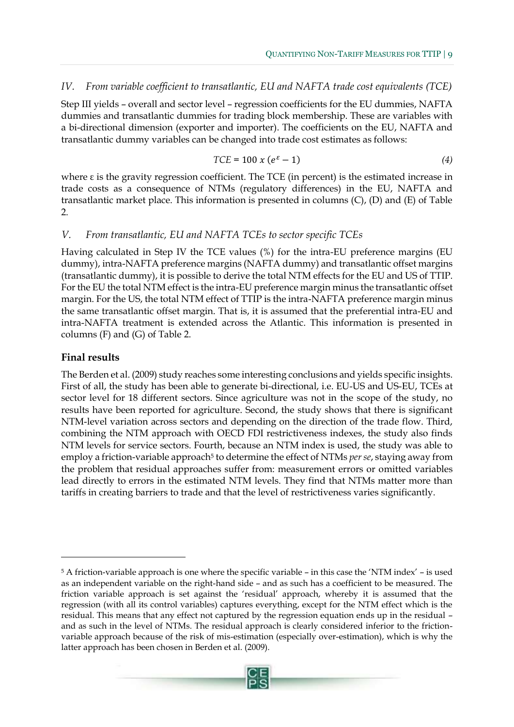#### *IV. From variable coefficient to transatlantic, EU and NAFTA trade cost equivalents (TCE)*

Step III yields – overall and sector level – regression coefficients for the EU dummies, NAFTA dummies and transatlantic dummies for trading block membership. These are variables with a bi-directional dimension (exporter and importer). The coefficients on the EU, NAFTA and transatlantic dummy variables can be changed into trade cost estimates as follows:

$$
TCE = 100 \times (e^{\varepsilon} - 1) \tag{4}
$$

where  $\varepsilon$  is the gravity regression coefficient. The TCE (in percent) is the estimated increase in trade costs as a consequence of NTMs (regulatory differences) in the EU, NAFTA and transatlantic market place. This information is presented in columns (C), (D) and (E) of Table 2.

#### *V. From transatlantic, EU and NAFTA TCEs to sector specific TCEs*

Having calculated in Step IV the TCE values (%) for the intra-EU preference margins (EU dummy), intra-NAFTA preference margins (NAFTA dummy) and transatlantic offset margins (transatlantic dummy), it is possible to derive the total NTM effects for the EU and US of TTIP. For the EU the total NTM effect is the intra-EU preference margin minus the transatlantic offset margin. For the US, the total NTM effect of TTIP is the intra-NAFTA preference margin minus the same transatlantic offset margin. That is, it is assumed that the preferential intra-EU and intra-NAFTA treatment is extended across the Atlantic. This information is presented in columns (F) and (G) of Table 2.

#### **Final results**

 $\overline{a}$ 

The Berden et al. (2009) study reaches some interesting conclusions and yields specific insights. First of all, the study has been able to generate bi-directional, i.e. EU-US and US-EU, TCEs at sector level for 18 different sectors. Since agriculture was not in the scope of the study, no results have been reported for agriculture. Second, the study shows that there is significant NTM-level variation across sectors and depending on the direction of the trade flow. Third, combining the NTM approach with OECD FDI restrictiveness indexes, the study also finds NTM levels for service sectors. Fourth, because an NTM index is used, the study was able to employ a friction-variable approach<sup>5</sup> to determine the effect of NTMs *per se*, staying away from the problem that residual approaches suffer from: measurement errors or omitted variables lead directly to errors in the estimated NTM levels. They find that NTMs matter more than tariffs in creating barriers to trade and that the level of restrictiveness varies significantly.

<sup>5</sup> A friction-variable approach is one where the specific variable – in this case the 'NTM index' – is used as an independent variable on the right-hand side – and as such has a coefficient to be measured. The friction variable approach is set against the 'residual' approach, whereby it is assumed that the regression (with all its control variables) captures everything, except for the NTM effect which is the residual. This means that any effect not captured by the regression equation ends up in the residual – and as such in the level of NTMs. The residual approach is clearly considered inferior to the frictionvariable approach because of the risk of mis-estimation (especially over-estimation), which is why the latter approach has been chosen in Berden et al. (2009).

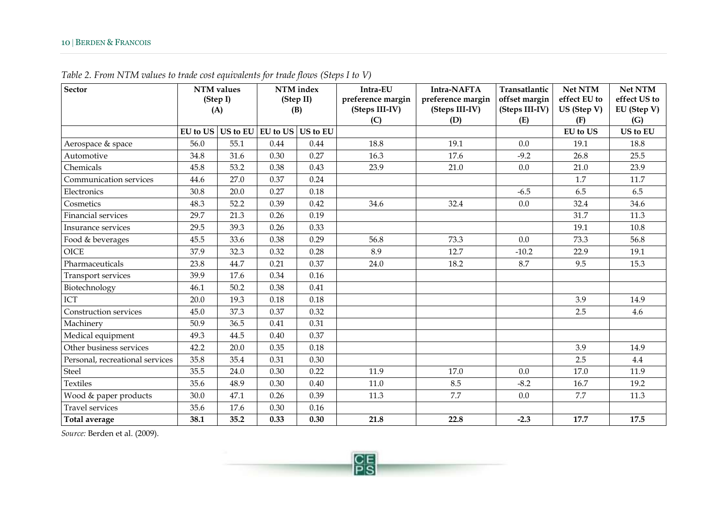| <b>Sector</b>                   | <b>NTM</b> values |                                     | NTM index |      | Intra-EU          | Intra-NAFTA       | Transatlantic  | Net NTM         | <b>Net NTM</b> |
|---------------------------------|-------------------|-------------------------------------|-----------|------|-------------------|-------------------|----------------|-----------------|----------------|
|                                 | (Step I)          |                                     | (Step II) |      | preference margin | preference margin | offset margin  | effect EU to    | effect US to   |
|                                 | (A)               |                                     | (B)       |      | (Steps III-IV)    | (Steps III-IV)    | (Steps III-IV) | US (Step V)     | EU (Step V)    |
|                                 |                   |                                     |           |      | (C)               | (D)               | (E)            | (F)             | (G)            |
|                                 |                   | EU to US US to EU EU to US US to EU |           |      |                   |                   |                | <b>EU</b> to US | US to EU       |
| Aerospace & space               | 56.0              | 55.1                                | 0.44      | 0.44 | 18.8              | 19.1              | 0.0            | 19.1            | 18.8           |
| Automotive                      | 34.8              | 31.6                                | 0.30      | 0.27 | 16.3              | 17.6              | $-9.2$         | 26.8            | 25.5           |
| Chemicals                       | 45.8              | 53.2                                | 0.38      | 0.43 | 23.9              | 21.0              | 0.0            | 21.0            | 23.9           |
| Communication services          | 44.6              | 27.0                                | 0.37      | 0.24 |                   |                   |                | 1.7             | 11.7           |
| Electronics                     | 30.8              | 20.0                                | 0.27      | 0.18 |                   |                   | $-6.5$         | 6.5             | 6.5            |
| Cosmetics                       | 48.3              | 52.2                                | 0.39      | 0.42 | 34.6              | 32.4              | 0.0            | 32.4            | 34.6           |
| Financial services              | 29.7              | 21.3                                | 0.26      | 0.19 |                   |                   |                | 31.7            | 11.3           |
| Insurance services              | 29.5              | 39.3                                | 0.26      | 0.33 |                   |                   |                | 19.1            | 10.8           |
| Food & beverages                | 45.5              | 33.6                                | 0.38      | 0.29 | 56.8              | 73.3              | 0.0            | 73.3            | 56.8           |
| <b>OICE</b>                     | 37.9              | 32.3                                | 0.32      | 0.28 | 8.9               | 12.7              | $-10.2$        | 22.9            | 19.1           |
| Pharmaceuticals                 | 23.8              | 44.7                                | 0.21      | 0.37 | 24.0              | 18.2              | 8.7            | 9.5             | 15.3           |
| Transport services              | 39.9              | 17.6                                | 0.34      | 0.16 |                   |                   |                |                 |                |
| Biotechnology                   | 46.1              | 50.2                                | 0.38      | 0.41 |                   |                   |                |                 |                |
| ICT                             | 20.0              | 19.3                                | 0.18      | 0.18 |                   |                   |                | 3.9             | 14.9           |
| Construction services           | 45.0              | 37.3                                | 0.37      | 0.32 |                   |                   |                | 2.5             | 4.6            |
| Machinery                       | 50.9              | 36.5                                | 0.41      | 0.31 |                   |                   |                |                 |                |
| Medical equipment               | 49.3              | 44.5                                | 0.40      | 0.37 |                   |                   |                |                 |                |
| Other business services         | 42.2              | 20.0                                | 0.35      | 0.18 |                   |                   |                | 3.9             | 14.9           |
| Personal, recreational services | 35.8              | 35.4                                | 0.31      | 0.30 |                   |                   |                | 2.5             | 4.4            |
| Steel                           | 35.5              | 24.0                                | 0.30      | 0.22 | 11.9              | 17.0              | 0.0            | 17.0            | 11.9           |
| <b>Textiles</b>                 | 35.6              | 48.9                                | 0.30      | 0.40 | 11.0              | 8.5               | $-8.2$         | 16.7            | 19.2           |
| Wood & paper products           | 30.0              | 47.1                                | 0.26      | 0.39 | 11.3              | 7.7               | 0.0            | 7.7             | 11.3           |
| <b>Travel services</b>          | 35.6              | 17.6                                | 0.30      | 0.16 |                   |                   |                |                 |                |
| Total average                   | 38.1              | 35.2                                | 0.33      | 0.30 | 21.8              | 22.8              | $-2.3$         | 17.7            | 17.5           |

*Table 2. From NTM values to trade cost equivalents for trade flows (Steps I to V)*

*Source:* Berden et al. (2009).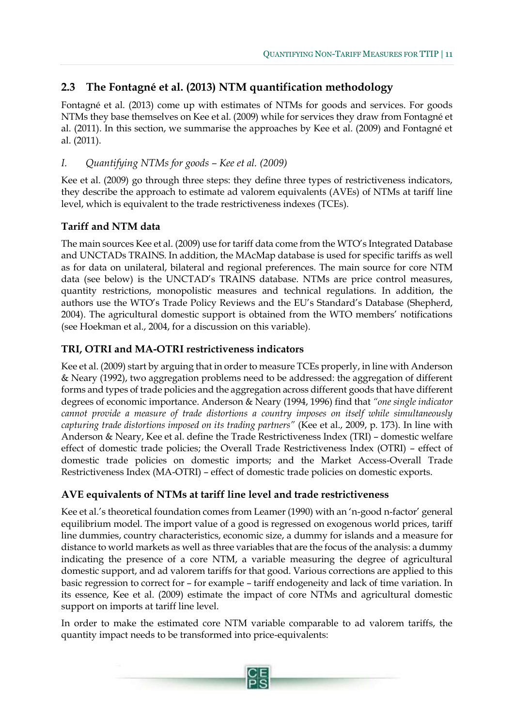## <span id="page-12-0"></span>**2.3 The Fontagné et al. (2013) NTM quantification methodology**

Fontagné et al. (2013) come up with estimates of NTMs for goods and services. For goods NTMs they base themselves on Kee et al. (2009) while for services they draw from Fontagné et al. (2011). In this section, we summarise the approaches by Kee et al. (2009) and Fontagné et al. (2011).

## *I. Quantifying NTMs for goods – Kee et al. (2009)*

Kee et al. (2009) go through three steps: they define three types of restrictiveness indicators, they describe the approach to estimate ad valorem equivalents (AVEs) of NTMs at tariff line level, which is equivalent to the trade restrictiveness indexes (TCEs).

## **Tariff and NTM data**

The main sources Kee et al. (2009) use for tariff data come from the WTO's Integrated Database and UNCTADs TRAINS. In addition, the MAcMap database is used for specific tariffs as well as for data on unilateral, bilateral and regional preferences. The main source for core NTM data (see below) is the UNCTAD's TRAINS database. NTMs are price control measures, quantity restrictions, monopolistic measures and technical regulations. In addition, the authors use the WTO's Trade Policy Reviews and the EU's Standard's Database (Shepherd, 2004). The agricultural domestic support is obtained from the WTO members' notifications (see Hoekman et al., 2004, for a discussion on this variable).

## **TRI, OTRI and MA-OTRI restrictiveness indicators**

Kee et al. (2009) start by arguing that in order to measure TCEs properly, in line with Anderson & Neary (1992), two aggregation problems need to be addressed: the aggregation of different forms and types of trade policies and the aggregation across different goods that have different degrees of economic importance. Anderson & Neary (1994, 1996) find that *"one single indicator cannot provide a measure of trade distortions a country imposes on itself while simultaneously capturing trade distortions imposed on its trading partners"* (Kee et al., 2009, p. 173). In line with Anderson & Neary, Kee et al. define the Trade Restrictiveness Index (TRI) – domestic welfare effect of domestic trade policies; the Overall Trade Restrictiveness Index (OTRI) – effect of domestic trade policies on domestic imports; and the Market Access-Overall Trade Restrictiveness Index (MA-OTRI) – effect of domestic trade policies on domestic exports.

## **AVE equivalents of NTMs at tariff line level and trade restrictiveness**

Kee et al.'s theoretical foundation comes from Leamer (1990) with an 'n-good n-factor' general equilibrium model. The import value of a good is regressed on exogenous world prices, tariff line dummies, country characteristics, economic size, a dummy for islands and a measure for distance to world markets as well as three variables that are the focus of the analysis: a dummy indicating the presence of a core NTM, a variable measuring the degree of agricultural domestic support, and ad valorem tariffs for that good. Various corrections are applied to this basic regression to correct for – for example – tariff endogeneity and lack of time variation. In its essence, Kee et al. (2009) estimate the impact of core NTMs and agricultural domestic support on imports at tariff line level.

In order to make the estimated core NTM variable comparable to ad valorem tariffs, the quantity impact needs to be transformed into price-equivalents: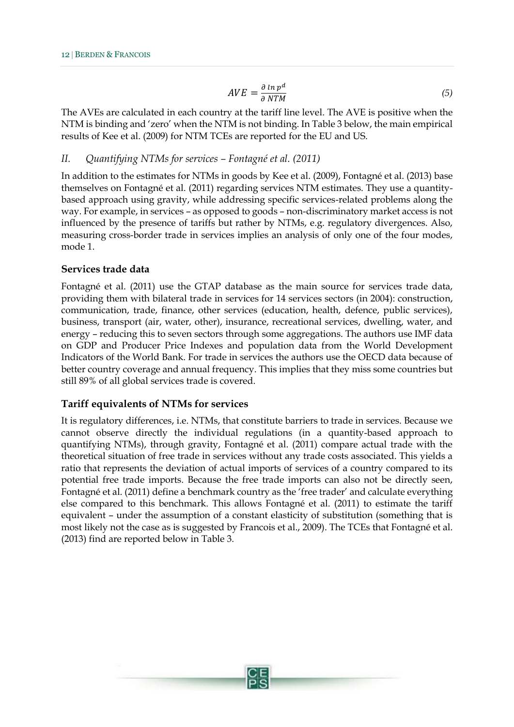$$
AVE = \frac{\partial \ln p^d}{\partial NTM} \tag{5}
$$

The AVEs are calculated in each country at the tariff line level. The AVE is positive when the NTM is binding and 'zero' when the NTM is not binding. In Table 3 below, the main empirical results of Kee et al. (2009) for NTM TCEs are reported for the EU and US.

#### *II. Quantifying NTMs for services – Fontagné et al. (2011)*

In addition to the estimates for NTMs in goods by Kee et al. (2009), Fontagné et al. (2013) base themselves on Fontagné et al. (2011) regarding services NTM estimates. They use a quantitybased approach using gravity, while addressing specific services-related problems along the way. For example, in services – as opposed to goods – non-discriminatory market access is not influenced by the presence of tariffs but rather by NTMs, e.g. regulatory divergences. Also, measuring cross-border trade in services implies an analysis of only one of the four modes, mode 1.

#### **Services trade data**

Fontagné et al. (2011) use the GTAP database as the main source for services trade data, providing them with bilateral trade in services for 14 services sectors (in 2004): construction, communication, trade, finance, other services (education, health, defence, public services), business, transport (air, water, other), insurance, recreational services, dwelling, water, and energy – reducing this to seven sectors through some aggregations. The authors use IMF data on GDP and Producer Price Indexes and population data from the World Development Indicators of the World Bank. For trade in services the authors use the OECD data because of better country coverage and annual frequency. This implies that they miss some countries but still 89% of all global services trade is covered.

#### **Tariff equivalents of NTMs for services**

It is regulatory differences, i.e. NTMs, that constitute barriers to trade in services. Because we cannot observe directly the individual regulations (in a quantity-based approach to quantifying NTMs), through gravity, Fontagné et al. (2011) compare actual trade with the theoretical situation of free trade in services without any trade costs associated. This yields a ratio that represents the deviation of actual imports of services of a country compared to its potential free trade imports. Because the free trade imports can also not be directly seen, Fontagné et al. (2011) define a benchmark country as the 'free trader' and calculate everything else compared to this benchmark. This allows Fontagné et al. (2011) to estimate the tariff equivalent – under the assumption of a constant elasticity of substitution (something that is most likely not the case as is suggested by Francois et al., 2009). The TCEs that Fontagné et al. (2013) find are reported below in Table 3.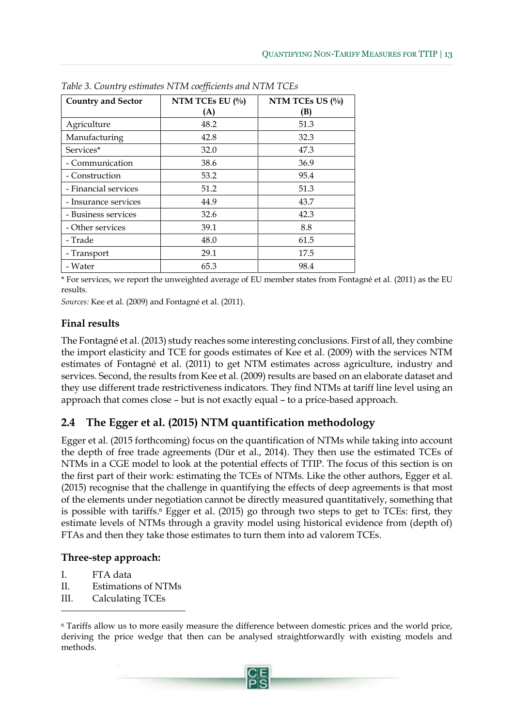| <b>Country and Sector</b> | NTM TCEs EU $(\%)$<br>(A) | NTM TCEs US $(\%$<br>(B) |
|---------------------------|---------------------------|--------------------------|
| Agriculture               | 48.2                      | 51.3                     |
| Manufacturing             | 42.8                      | 32.3                     |
| Services*                 | 32.0                      | 47.3                     |
| - Communication           | 38.6                      | 36.9                     |
| - Construction            | 53.2                      | 95.4                     |
| - Financial services      | 51.2                      | 51.3                     |
| - Insurance services      | 44.9                      | 43.7                     |
| - Business services       | 32.6                      | 42.3                     |
| - Other services          | 39.1                      | 8.8                      |
| - Trade                   | 48.0                      | 61.5                     |
| - Transport               | 29.1                      | 17.5                     |
| - Water                   | 65.3                      | 98.4                     |

*Table 3. Country estimates NTM coefficients and NTM TCEs*

\* For services, we report the unweighted average of EU member states from Fontagné et al. (2011) as the EU results.

*Sources:* Kee et al. (2009) and Fontagné et al. (2011).

## **Final results**

The Fontagné et al. (2013) study reaches some interesting conclusions. First of all, they combine the import elasticity and TCE for goods estimates of Kee et al. (2009) with the services NTM estimates of Fontagné et al. (2011) to get NTM estimates across agriculture, industry and services. Second, the results from Kee et al. (2009) results are based on an elaborate dataset and they use different trade restrictiveness indicators. They find NTMs at tariff line level using an approach that comes close – but is not exactly equal – to a price-based approach.

## <span id="page-14-0"></span>**2.4 The Egger et al. (2015) NTM quantification methodology**

Egger et al. (2015 forthcoming) focus on the quantification of NTMs while taking into account the depth of free trade agreements (Dür et al., 2014). They then use the estimated TCEs of NTMs in a CGE model to look at the potential effects of TTIP. The focus of this section is on the first part of their work: estimating the TCEs of NTMs. Like the other authors, Egger et al. (2015) recognise that the challenge in quantifying the effects of deep agreements is that most of the elements under negotiation cannot be directly measured quantitatively, something that is possible with tariffs.<sup>6</sup> Egger et al. (2015) go through two steps to get to TCEs: first, they estimate levels of NTMs through a gravity model using historical evidence from (depth of) FTAs and then they take those estimates to turn them into ad valorem TCEs.

## **Three-step approach:**

I. FTA data

 $\overline{a}$ 

- II. Estimations of NTMs
- III. Calculating TCEs

<sup>6</sup> Tariffs allow us to more easily measure the difference between domestic prices and the world price, deriving the price wedge that then can be analysed straightforwardly with existing models and methods.

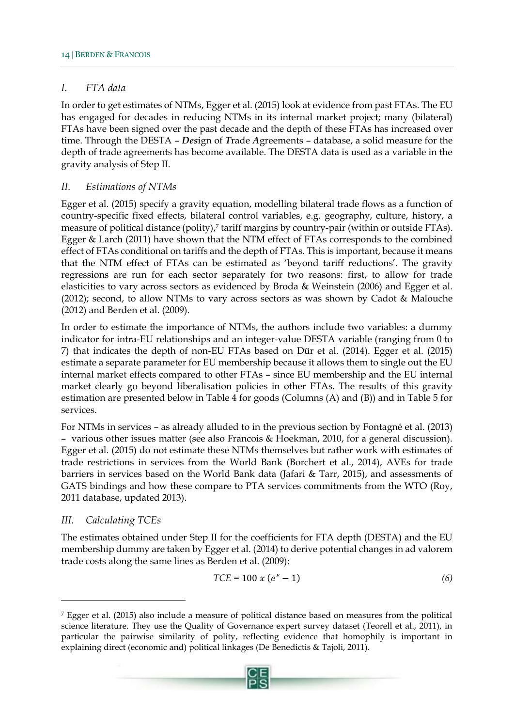#### *I. FTA data*

In order to get estimates of NTMs, Egger et al. (2015) look at evidence from past FTAs. The EU has engaged for decades in reducing NTMs in its internal market project; many (bilateral) FTAs have been signed over the past decade and the depth of these FTAs has increased over time. Through the DESTA – *Des*ign of *T*rade *A*greements – database, a solid measure for the depth of trade agreements has become available. The DESTA data is used as a variable in the gravity analysis of Step II.

#### *II. Estimations of NTMs*

Egger et al. (2015) specify a gravity equation, modelling bilateral trade flows as a function of country-specific fixed effects, bilateral control variables, e.g. geography, culture, history, a measure of political distance (polity),<sup>7</sup> tariff margins by country-pair (within or outside FTAs). Egger & Larch (2011) have shown that the NTM effect of FTAs corresponds to the combined effect of FTAs conditional on tariffs and the depth of FTAs. This is important, because it means that the NTM effect of FTAs can be estimated as 'beyond tariff reductions'. The gravity regressions are run for each sector separately for two reasons: first, to allow for trade elasticities to vary across sectors as evidenced by Broda & Weinstein (2006) and Egger et al. (2012); second, to allow NTMs to vary across sectors as was shown by Cadot & Malouche (2012) and Berden et al. (2009).

In order to estimate the importance of NTMs, the authors include two variables: a dummy indicator for intra-EU relationships and an integer-value DESTA variable (ranging from 0 to 7) that indicates the depth of non-EU FTAs based on Dür et al. (2014). Egger et al. (2015) estimate a separate parameter for EU membership because it allows them to single out the EU internal market effects compared to other FTAs – since EU membership and the EU internal market clearly go beyond liberalisation policies in other FTAs. The results of this gravity estimation are presented below in Table 4 for goods (Columns (A) and (B)) and in Table 5 for services.

For NTMs in services – as already alluded to in the previous section by Fontagné et al. (2013) – various other issues matter (see also Francois & Hoekman, 2010, for a general discussion). Egger et al. (2015) do not estimate these NTMs themselves but rather work with estimates of trade restrictions in services from the World Bank (Borchert et al., 2014), AVEs for trade barriers in services based on the World Bank data (Jafari & Tarr, 2015), and assessments of GATS bindings and how these compare to PTA services commitments from the WTO (Roy, 2011 database, updated 2013).

## *III. Calculating TCEs*

 $\overline{a}$ 

The estimates obtained under Step II for the coefficients for FTA depth (DESTA) and the EU membership dummy are taken by Egger et al. (2014) to derive potential changes in ad valorem trade costs along the same lines as Berden et al. (2009):

$$
TCE = 100 \times (e^{\varepsilon} - 1) \tag{6}
$$

<sup>7</sup> Egger et al. (2015) also include a measure of political distance based on measures from the political science literature. They use the Quality of Governance expert survey dataset (Teorell et al., 2011), in particular the pairwise similarity of polity, reflecting evidence that homophily is important in explaining direct (economic and) political linkages (De Benedictis & Tajoli, 2011).

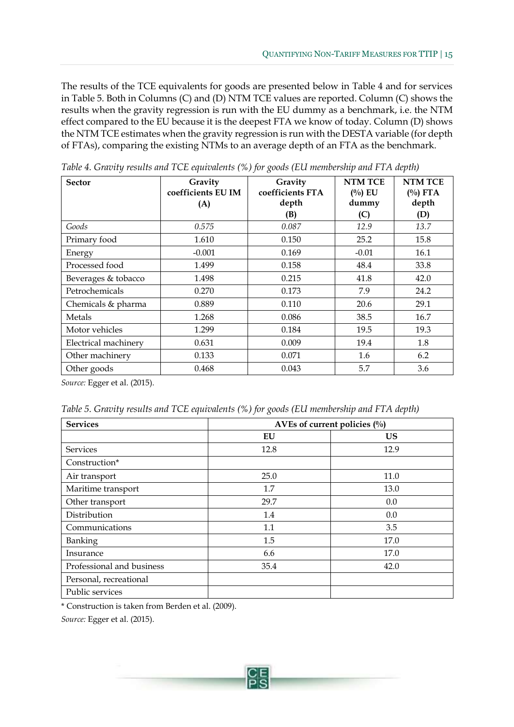The results of the TCE equivalents for goods are presented below in Table 4 and for services in Table 5. Both in Columns (C) and (D) NTM TCE values are reported. Column (C) shows the results when the gravity regression is run with the EU dummy as a benchmark, i.e. the NTM effect compared to the EU because it is the deepest FTA we know of today. Column (D) shows the NTM TCE estimates when the gravity regression is run with the DESTA variable (for depth of FTAs), comparing the existing NTMs to an average depth of an FTA as the benchmark.

| $\cdot$<br><b>Sector</b> | Gravity<br>coefficients EU IM<br>(A) | Gravity<br>coefficients FTA<br>depth<br>(B) | <b>NTM TCE</b><br>$(^{0}/_{0})$ EU<br>dummy<br>(C) | <b>NTM TCE</b><br>$(^{0}/_{0})$ FTA<br>depth<br>(D) |
|--------------------------|--------------------------------------|---------------------------------------------|----------------------------------------------------|-----------------------------------------------------|
| Goods                    | 0.575                                | 0.087                                       | 12.9                                               | 13.7                                                |
| Primary food             | 1.610                                | 0.150                                       | 25.2                                               | 15.8                                                |
| Energy                   | $-0.001$                             | 0.169                                       | $-0.01$                                            | 16.1                                                |
| Processed food           | 1.499                                | 0.158                                       | 48.4                                               | 33.8                                                |
| Beverages & tobacco      | 1.498                                | 0.215                                       | 41.8                                               | 42.0                                                |
| Petrochemicals           | 0.270                                | 0.173                                       | 7.9                                                | 24.2                                                |
| Chemicals & pharma       | 0.889                                | 0.110                                       | 20.6                                               | 29.1                                                |
| Metals                   | 1.268                                | 0.086                                       | 38.5                                               | 16.7                                                |
| Motor vehicles           | 1.299                                | 0.184                                       | 19.5                                               | 19.3                                                |
| Electrical machinery     | 0.631                                | 0.009                                       | 19.4                                               | 1.8                                                 |
| Other machinery          | 0.133                                | 0.071                                       | 1.6                                                | 6.2                                                 |
| Other goods              | 0.468                                | 0.043                                       | 5.7                                                | 3.6                                                 |

*Table 4. Gravity results and TCE equivalents (%) for goods (EU membership and FTA depth)*

*Source:* Egger et al. (2015).

| Table 5. Gravity results and TCE equivalents (%) for goods (EU membership and FTA depth) |  |  |
|------------------------------------------------------------------------------------------|--|--|
|                                                                                          |  |  |

| <b>Services</b>           | AVEs of current policies $(\%$ |           |  |  |  |
|---------------------------|--------------------------------|-----------|--|--|--|
|                           | EU                             | <b>US</b> |  |  |  |
| <b>Services</b>           | 12.8                           | 12.9      |  |  |  |
| Construction*             |                                |           |  |  |  |
| Air transport             | 25.0                           | 11.0      |  |  |  |
| Maritime transport        | 1.7                            | 13.0      |  |  |  |
| Other transport           | 29.7                           | 0.0       |  |  |  |
| Distribution              | 1.4                            | 0.0       |  |  |  |
| Communications            | 1.1                            | 3.5       |  |  |  |
| Banking                   | 1.5                            | 17.0      |  |  |  |
| Insurance                 | 6.6                            | 17.0      |  |  |  |
| Professional and business | 35.4                           | 42.0      |  |  |  |
| Personal, recreational    |                                |           |  |  |  |
| Public services           |                                |           |  |  |  |

\* Construction is taken from Berden et al. (2009).

*Source:* Egger et al. (2015).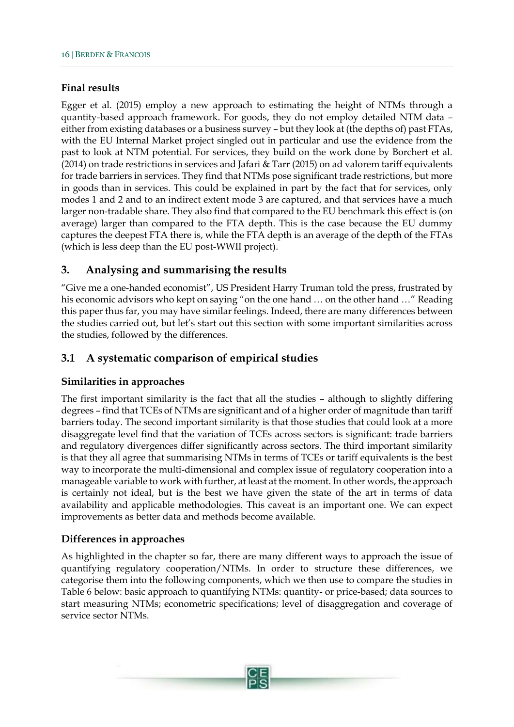#### **Final results**

Egger et al. (2015) employ a new approach to estimating the height of NTMs through a quantity-based approach framework. For goods, they do not employ detailed NTM data – either from existing databases or a business survey – but they look at (the depths of) past FTAs, with the EU Internal Market project singled out in particular and use the evidence from the past to look at NTM potential. For services, they build on the work done by Borchert et al. (2014) on trade restrictions in services and Jafari & Tarr (2015) on ad valorem tariff equivalents for trade barriers in services. They find that NTMs pose significant trade restrictions, but more in goods than in services. This could be explained in part by the fact that for services, only modes 1 and 2 and to an indirect extent mode 3 are captured, and that services have a much larger non-tradable share. They also find that compared to the EU benchmark this effect is (on average) larger than compared to the FTA depth. This is the case because the EU dummy captures the deepest FTA there is, while the FTA depth is an average of the depth of the FTAs (which is less deep than the EU post-WWII project).

## <span id="page-17-0"></span>**3. Analysing and summarising the results**

"Give me a one-handed economist", US President Harry Truman told the press, frustrated by his economic advisors who kept on saying "on the one hand … on the other hand …" Reading this paper thus far, you may have similar feelings. Indeed, there are many differences between the studies carried out, but let's start out this section with some important similarities across the studies, followed by the differences.

## <span id="page-17-1"></span>**3.1 A systematic comparison of empirical studies**

#### **Similarities in approaches**

The first important similarity is the fact that all the studies – although to slightly differing degrees – find that TCEs of NTMs are significant and of a higher order of magnitude than tariff barriers today. The second important similarity is that those studies that could look at a more disaggregate level find that the variation of TCEs across sectors is significant: trade barriers and regulatory divergences differ significantly across sectors. The third important similarity is that they all agree that summarising NTMs in terms of TCEs or tariff equivalents is the best way to incorporate the multi-dimensional and complex issue of regulatory cooperation into a manageable variable to work with further, at least at the moment. In other words, the approach is certainly not ideal, but is the best we have given the state of the art in terms of data availability and applicable methodologies. This caveat is an important one. We can expect improvements as better data and methods become available.

## **Differences in approaches**

As highlighted in the chapter so far, there are many different ways to approach the issue of quantifying regulatory cooperation/NTMs. In order to structure these differences, we categorise them into the following components, which we then use to compare the studies in Table 6 below: basic approach to quantifying NTMs: quantity- or price-based; data sources to start measuring NTMs; econometric specifications; level of disaggregation and coverage of service sector NTMs.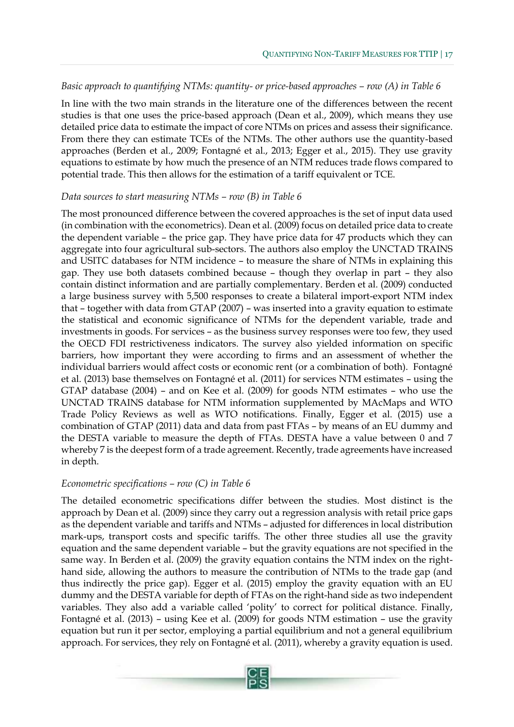#### *Basic approach to quantifying NTMs: quantity- or price-based approaches – row (A) in Table 6*

In line with the two main strands in the literature one of the differences between the recent studies is that one uses the price-based approach (Dean et al., 2009), which means they use detailed price data to estimate the impact of core NTMs on prices and assess their significance. From there they can estimate TCEs of the NTMs. The other authors use the quantity-based approaches (Berden et al., 2009; Fontagné et al., 2013; Egger et al., 2015). They use gravity equations to estimate by how much the presence of an NTM reduces trade flows compared to potential trade. This then allows for the estimation of a tariff equivalent or TCE.

#### *Data sources to start measuring NTMs – row (B) in Table 6*

The most pronounced difference between the covered approaches is the set of input data used (in combination with the econometrics). Dean et al. (2009) focus on detailed price data to create the dependent variable – the price gap. They have price data for 47 products which they can aggregate into four agricultural sub-sectors. The authors also employ the UNCTAD TRAINS and USITC databases for NTM incidence – to measure the share of NTMs in explaining this gap. They use both datasets combined because – though they overlap in part – they also contain distinct information and are partially complementary. Berden et al. (2009) conducted a large business survey with 5,500 responses to create a bilateral import-export NTM index that – together with data from GTAP (2007) – was inserted into a gravity equation to estimate the statistical and economic significance of NTMs for the dependent variable, trade and investments in goods. For services – as the business survey responses were too few, they used the OECD FDI restrictiveness indicators. The survey also yielded information on specific barriers, how important they were according to firms and an assessment of whether the individual barriers would affect costs or economic rent (or a combination of both). Fontagné et al. (2013) base themselves on Fontagné et al. (2011) for services NTM estimates – using the GTAP database (2004) – and on Kee et al. (2009) for goods NTM estimates – who use the UNCTAD TRAINS database for NTM information supplemented by MAcMaps and WTO Trade Policy Reviews as well as WTO notifications. Finally, Egger et al. (2015) use a combination of GTAP (2011) data and data from past FTAs – by means of an EU dummy and the DESTA variable to measure the depth of FTAs. DESTA have a value between 0 and 7 whereby 7 is the deepest form of a trade agreement. Recently, trade agreements have increased in depth.

#### *Econometric specifications – row (C) in Table 6*

The detailed econometric specifications differ between the studies. Most distinct is the approach by Dean et al. (2009) since they carry out a regression analysis with retail price gaps as the dependent variable and tariffs and NTMs – adjusted for differences in local distribution mark-ups, transport costs and specific tariffs. The other three studies all use the gravity equation and the same dependent variable – but the gravity equations are not specified in the same way. In Berden et al. (2009) the gravity equation contains the NTM index on the righthand side, allowing the authors to measure the contribution of NTMs to the trade gap (and thus indirectly the price gap). Egger et al. (2015) employ the gravity equation with an EU dummy and the DESTA variable for depth of FTAs on the right-hand side as two independent variables. They also add a variable called 'polity' to correct for political distance. Finally, Fontagné et al. (2013) – using Kee et al. (2009) for goods NTM estimation – use the gravity equation but run it per sector, employing a partial equilibrium and not a general equilibrium approach. For services, they rely on Fontagné et al. (2011), whereby a gravity equation is used.

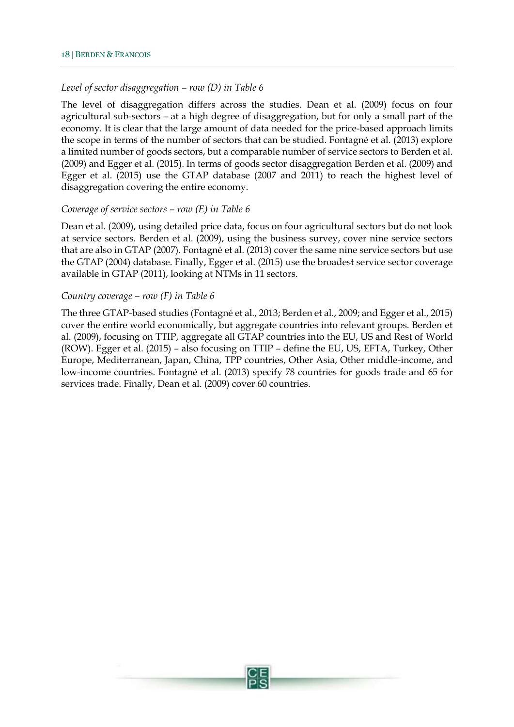#### *Level of sector disaggregation – row (D) in Table 6*

The level of disaggregation differs across the studies. Dean et al. (2009) focus on four agricultural sub-sectors – at a high degree of disaggregation, but for only a small part of the economy. It is clear that the large amount of data needed for the price-based approach limits the scope in terms of the number of sectors that can be studied. Fontagné et al. (2013) explore a limited number of goods sectors, but a comparable number of service sectors to Berden et al. (2009) and Egger et al. (2015). In terms of goods sector disaggregation Berden et al. (2009) and Egger et al. (2015) use the GTAP database (2007 and 2011) to reach the highest level of disaggregation covering the entire economy.

#### *Coverage of service sectors – row (E) in Table 6*

Dean et al. (2009), using detailed price data, focus on four agricultural sectors but do not look at service sectors. Berden et al. (2009), using the business survey, cover nine service sectors that are also in GTAP (2007). Fontagné et al. (2013) cover the same nine service sectors but use the GTAP (2004) database. Finally, Egger et al. (2015) use the broadest service sector coverage available in GTAP (2011), looking at NTMs in 11 sectors.

#### *Country coverage – row (F) in Table 6*

The three GTAP-based studies (Fontagné et al., 2013; Berden et al., 2009; and Egger et al., 2015) cover the entire world economically, but aggregate countries into relevant groups. Berden et al. (2009), focusing on TTIP, aggregate all GTAP countries into the EU, US and Rest of World (ROW). Egger et al. (2015) – also focusing on TTIP – define the EU, US, EFTA, Turkey, Other Europe, Mediterranean, Japan, China, TPP countries, Other Asia, Other middle-income, and low-income countries. Fontagné et al. (2013) specify 78 countries for goods trade and 65 for services trade. Finally, Dean et al. (2009) cover 60 countries.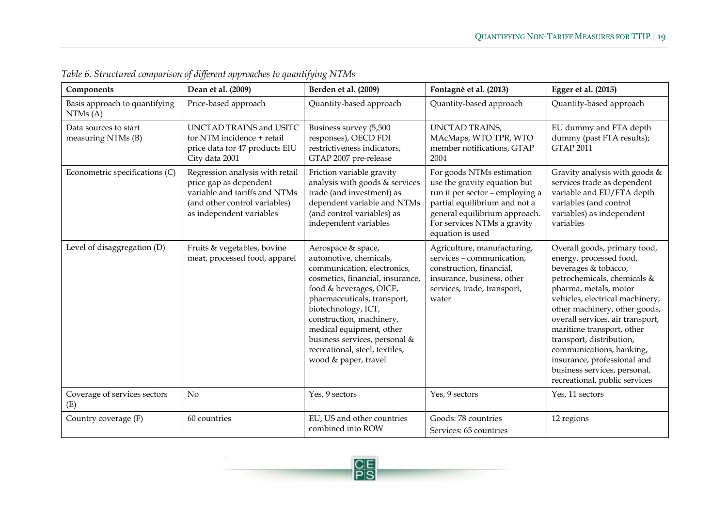| Components                                  | Dean et al. (2009)                                                                                                                                      | Berden et al. (2009)                                                                                                                                                                                                                                                                                                                                | Fontagné et al. (2013)                                                                                                                                                                                            | Egger et al. (2015)                                                                                                                                                                                                                                                                                                                                                                                                                  |
|---------------------------------------------|---------------------------------------------------------------------------------------------------------------------------------------------------------|-----------------------------------------------------------------------------------------------------------------------------------------------------------------------------------------------------------------------------------------------------------------------------------------------------------------------------------------------------|-------------------------------------------------------------------------------------------------------------------------------------------------------------------------------------------------------------------|--------------------------------------------------------------------------------------------------------------------------------------------------------------------------------------------------------------------------------------------------------------------------------------------------------------------------------------------------------------------------------------------------------------------------------------|
| Basis approach to quantifying<br>NTMs(A)    | Price-based approach                                                                                                                                    | Quantity-based approach                                                                                                                                                                                                                                                                                                                             | Quantity-based approach                                                                                                                                                                                           | Quantity-based approach                                                                                                                                                                                                                                                                                                                                                                                                              |
| Data sources to start<br>measuring NTMs (B) | UNCTAD TRAINS and USITC<br>for NTM incidence + retail<br>price data for 47 products EIU<br>City data 2001                                               | Business survey (5,500<br>responses), OECD FDI<br>restrictiveness indicators,<br>GTAP 2007 pre-release                                                                                                                                                                                                                                              | <b>UNCTAD TRAINS,</b><br>MAcMaps, WTO TPR, WTO<br>member notifications, GTAP<br>2004                                                                                                                              | EU dummy and FTA depth<br>dummy (past FTA results);<br><b>GTAP 2011</b>                                                                                                                                                                                                                                                                                                                                                              |
| Econometric specifications (C)              | Regression analysis with retail<br>price gap as dependent<br>variable and tariffs and NTMs<br>(and other control variables)<br>as independent variables | Friction variable gravity<br>analysis with goods & services<br>trade (and investment) as<br>dependent variable and NTMs<br>(and control variables) as<br>independent variables                                                                                                                                                                      | For goods NTMs estimation<br>use the gravity equation but<br>run it per sector - employing a<br>partial equilibrium and not a<br>general equilibrium approach.<br>For services NTMs a gravity<br>equation is used | Gravity analysis with goods &<br>services trade as dependent<br>variable and EU/FTA depth<br>variables (and control<br>variables) as independent<br>variables                                                                                                                                                                                                                                                                        |
| Level of disaggregation (D)                 | Fruits & vegetables, bovine<br>meat, processed food, apparel                                                                                            | Aerospace & space,<br>automotive, chemicals,<br>communication, electronics,<br>cosmetics, financial, insurance,<br>food & beverages, OICE,<br>pharmaceuticals, transport,<br>biotechnology, ICT,<br>construction, machinery,<br>medical equipment, other<br>business services, personal &<br>recreational, steel, textiles,<br>wood & paper, travel | Agriculture, manufacturing,<br>services - communication,<br>construction, financial,<br>insurance, business, other<br>services, trade, transport,<br>water                                                        | Overall goods, primary food,<br>energy, processed food,<br>beverages & tobacco,<br>petrochemicals, chemicals &<br>pharma, metals, motor<br>vehicles, electrical machinery,<br>other machinery, other goods,<br>overall services, air transport,<br>maritime transport, other<br>transport, distribution,<br>communications, banking,<br>insurance, professional and<br>business services, personal,<br>recreational, public services |
| Coverage of services sectors<br>(E)         | N <sub>o</sub>                                                                                                                                          | Yes, 9 sectors                                                                                                                                                                                                                                                                                                                                      | Yes, 9 sectors                                                                                                                                                                                                    | Yes, 11 sectors                                                                                                                                                                                                                                                                                                                                                                                                                      |
| Country coverage (F)                        | 60 countries                                                                                                                                            | EU, US and other countries<br>combined into ROW                                                                                                                                                                                                                                                                                                     | Goods: 78 countries<br>Services: 65 countries                                                                                                                                                                     | 12 regions                                                                                                                                                                                                                                                                                                                                                                                                                           |

*Table 6. Structured comparison of different approaches to quantifying NTMs*

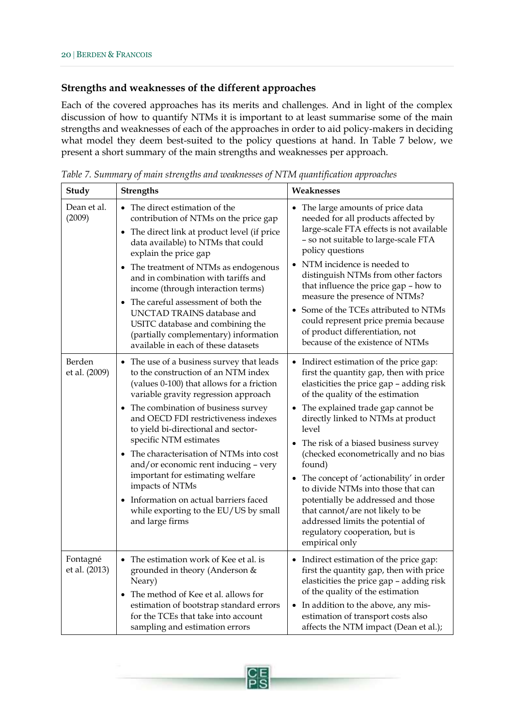#### **Strengths and weaknesses of the different approaches**

Each of the covered approaches has its merits and challenges. And in light of the complex discussion of how to quantify NTMs it is important to at least summarise some of the main strengths and weaknesses of each of the approaches in order to aid policy-makers in deciding what model they deem best-suited to the policy questions at hand. In Table 7 below, we present a short summary of the main strengths and weaknesses per approach.

| Study                     | <b>Strengths</b>                                                                                                                                                                                                                                                                                                                                                                                                                                                                                                                                                      | Weaknesses                                                                                                                                                                                                                                                                                                                                                                                                                                                                                                                                                                                                          |  |  |  |
|---------------------------|-----------------------------------------------------------------------------------------------------------------------------------------------------------------------------------------------------------------------------------------------------------------------------------------------------------------------------------------------------------------------------------------------------------------------------------------------------------------------------------------------------------------------------------------------------------------------|---------------------------------------------------------------------------------------------------------------------------------------------------------------------------------------------------------------------------------------------------------------------------------------------------------------------------------------------------------------------------------------------------------------------------------------------------------------------------------------------------------------------------------------------------------------------------------------------------------------------|--|--|--|
| Dean et al.<br>(2009)     | • The direct estimation of the<br>contribution of NTMs on the price gap<br>The direct link at product level (if price<br>$\bullet$<br>data available) to NTMs that could<br>explain the price gap<br>• The treatment of NTMs as endogenous<br>and in combination with tariffs and<br>income (through interaction terms)<br>The careful assessment of both the<br>$\bullet$<br>UNCTAD TRAINS database and<br>USITC database and combining the<br>(partially complementary) information<br>available in each of these datasets                                          | • The large amounts of price data<br>needed for all products affected by<br>large-scale FTA effects is not available<br>- so not suitable to large-scale FTA<br>policy questions<br>NTM incidence is needed to<br>distinguish NTMs from other factors<br>that influence the price gap - how to<br>measure the presence of NTMs?<br>Some of the TCEs attributed to NTMs<br>could represent price premia because<br>of product differentiation, not<br>because of the existence of NTMs                                                                                                                               |  |  |  |
| Berden<br>et al. (2009)   | • The use of a business survey that leads<br>to the construction of an NTM index<br>(values 0-100) that allows for a friction<br>variable gravity regression approach<br>• The combination of business survey<br>and OECD FDI restrictiveness indexes<br>to yield bi-directional and sector-<br>specific NTM estimates<br>• The characterisation of NTMs into cost<br>and/or economic rent inducing - very<br>important for estimating welfare<br>impacts of NTMs<br>Information on actual barriers faced<br>while exporting to the EU/US by small<br>and large firms | • Indirect estimation of the price gap:<br>first the quantity gap, then with price<br>elasticities the price gap - adding risk<br>of the quality of the estimation<br>The explained trade gap cannot be<br>directly linked to NTMs at product<br>level<br>• The risk of a biased business survey<br>(checked econometrically and no bias<br>found)<br>The concept of 'actionability' in order<br>$\bullet$<br>to divide NTMs into those that can<br>potentially be addressed and those<br>that cannot/are not likely to be<br>addressed limits the potential of<br>regulatory cooperation, but is<br>empirical only |  |  |  |
| Fontagné<br>et al. (2013) | • The estimation work of Kee et al. is<br>grounded in theory (Anderson &<br>Neary)<br>• The method of Kee et al. allows for<br>estimation of bootstrap standard errors<br>for the TCEs that take into account<br>sampling and estimation errors                                                                                                                                                                                                                                                                                                                       | Indirect estimation of the price gap:<br>first the quantity gap, then with price<br>elasticities the price gap - adding risk<br>of the quality of the estimation<br>In addition to the above, any mis-<br>$\bullet$<br>estimation of transport costs also<br>affects the NTM impact (Dean et al.);                                                                                                                                                                                                                                                                                                                  |  |  |  |

*Table 7. Summary of main strengths and weaknesses of NTM quantification approaches*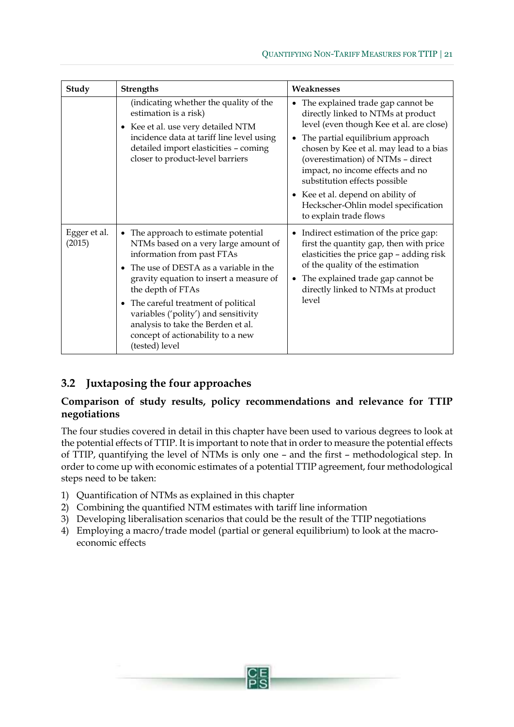| Study                  | <b>Strengths</b>                                                                                                                                                                                                                                                                                                                                                                                            | Weaknesses                                                                                                                                                                                                                                                                                                                                                                                                                           |
|------------------------|-------------------------------------------------------------------------------------------------------------------------------------------------------------------------------------------------------------------------------------------------------------------------------------------------------------------------------------------------------------------------------------------------------------|--------------------------------------------------------------------------------------------------------------------------------------------------------------------------------------------------------------------------------------------------------------------------------------------------------------------------------------------------------------------------------------------------------------------------------------|
|                        | (indicating whether the quality of the<br>estimation is a risk)<br>• Kee et al. use very detailed NTM<br>incidence data at tariff line level using<br>detailed import elasticities - coming<br>closer to product-level barriers                                                                                                                                                                             | The explained trade gap cannot be<br>٠<br>directly linked to NTMs at product<br>level (even though Kee et al. are close)<br>The partial equilibrium approach<br>$\bullet$<br>chosen by Kee et al. may lead to a bias<br>(overestimation) of NTMs - direct<br>impact, no income effects and no<br>substitution effects possible<br>• Kee et al. depend on ability of<br>Heckscher-Ohlin model specification<br>to explain trade flows |
| Egger et al.<br>(2015) | The approach to estimate potential<br>$\bullet$<br>NTMs based on a very large amount of<br>information from past FTAs<br>The use of DESTA as a variable in the<br>gravity equation to insert a measure of<br>the depth of FTAs<br>• The careful treatment of political<br>variables ('polity') and sensitivity<br>analysis to take the Berden et al.<br>concept of actionability to a new<br>(tested) level | • Indirect estimation of the price gap:<br>first the quantity gap, then with price<br>elasticities the price gap - adding risk<br>of the quality of the estimation<br>The explained trade gap cannot be<br>$\bullet$<br>directly linked to NTMs at product<br>level                                                                                                                                                                  |

## <span id="page-22-0"></span>**3.2 Juxtaposing the four approaches**

## **Comparison of study results, policy recommendations and relevance for TTIP negotiations**

The four studies covered in detail in this chapter have been used to various degrees to look at the potential effects of TTIP. It is important to note that in order to measure the potential effects of TTIP, quantifying the level of NTMs is only one – and the first – methodological step. In order to come up with economic estimates of a potential TTIP agreement, four methodological steps need to be taken:

- 1) Quantification of NTMs as explained in this chapter
- 2) Combining the quantified NTM estimates with tariff line information
- 3) Developing liberalisation scenarios that could be the result of the TTIP negotiations
- 4) Employing a macro/trade model (partial or general equilibrium) to look at the macroeconomic effects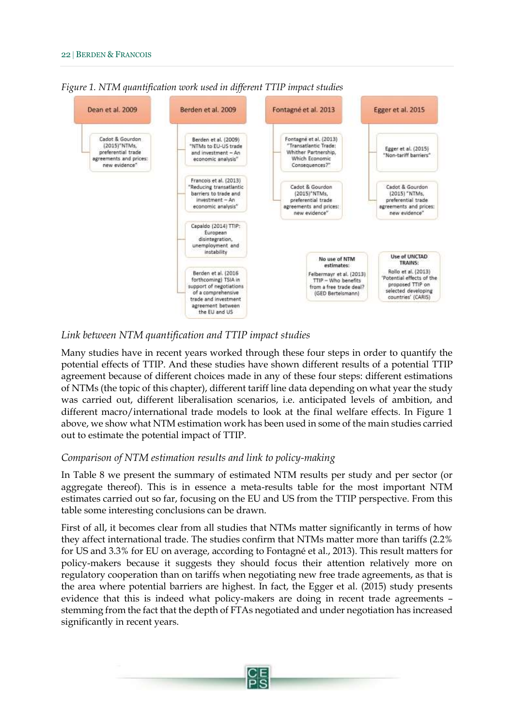

*Figure 1. NTM quantification work used in different TTIP impact studies*

## *Link between NTM quantification and TTIP impact studies*

Many studies have in recent years worked through these four steps in order to quantify the potential effects of TTIP. And these studies have shown different results of a potential TTIP agreement because of different choices made in any of these four steps: different estimations of NTMs (the topic of this chapter), different tariff line data depending on what year the study was carried out, different liberalisation scenarios, i.e. anticipated levels of ambition, and different macro/international trade models to look at the final welfare effects. In Figure 1 above, we show what NTM estimation work has been used in some of the main studies carried out to estimate the potential impact of TTIP.

#### *Comparison of NTM estimation results and link to policy-making*

In Table 8 we present the summary of estimated NTM results per study and per sector (or aggregate thereof). This is in essence a meta-results table for the most important NTM estimates carried out so far, focusing on the EU and US from the TTIP perspective. From this table some interesting conclusions can be drawn.

First of all, it becomes clear from all studies that NTMs matter significantly in terms of how they affect international trade. The studies confirm that NTMs matter more than tariffs (2.2% for US and 3.3% for EU on average, according to Fontagné et al., 2013). This result matters for policy-makers because it suggests they should focus their attention relatively more on regulatory cooperation than on tariffs when negotiating new free trade agreements, as that is the area where potential barriers are highest. In fact, the Egger et al. (2015) study presents evidence that this is indeed what policy-makers are doing in recent trade agreements – stemming from the fact that the depth of FTAs negotiated and under negotiation has increased significantly in recent years.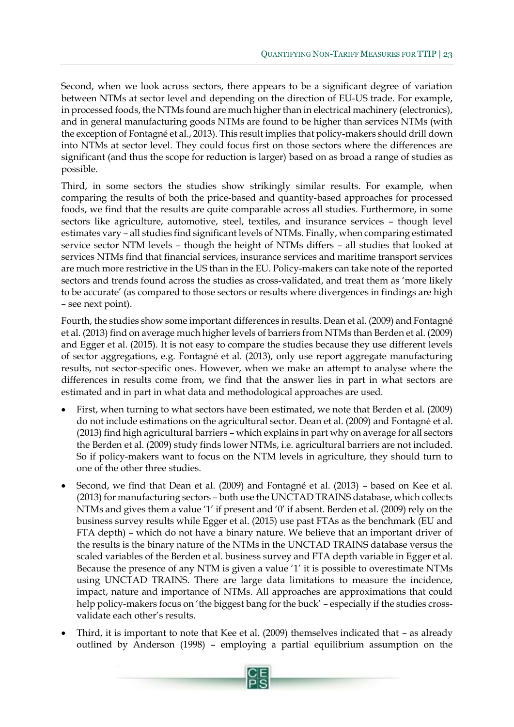Second, when we look across sectors, there appears to be a significant degree of variation between NTMs at sector level and depending on the direction of EU-US trade. For example, in processed foods, the NTMs found are much higher than in electrical machinery (electronics), and in general manufacturing goods NTMs are found to be higher than services NTMs (with the exception of Fontagné et al., 2013). This result implies that policy-makers should drill down into NTMs at sector level. They could focus first on those sectors where the differences are significant (and thus the scope for reduction is larger) based on as broad a range of studies as possible.

Third, in some sectors the studies show strikingly similar results. For example, when comparing the results of both the price-based and quantity-based approaches for processed foods, we find that the results are quite comparable across all studies. Furthermore, in some sectors like agriculture, automotive, steel, textiles, and insurance services – though level estimates vary – all studies find significant levels of NTMs. Finally, when comparing estimated service sector NTM levels – though the height of NTMs differs – all studies that looked at services NTMs find that financial services, insurance services and maritime transport services are much more restrictive in the US than in the EU. Policy-makers can take note of the reported sectors and trends found across the studies as cross-validated, and treat them as 'more likely to be accurate' (as compared to those sectors or results where divergences in findings are high – see next point).

Fourth, the studies show some important differences in results. Dean et al. (2009) and Fontagné et al. (2013) find on average much higher levels of barriers from NTMs than Berden et al. (2009) and Egger et al. (2015). It is not easy to compare the studies because they use different levels of sector aggregations, e.g. Fontagné et al. (2013), only use report aggregate manufacturing results, not sector-specific ones. However, when we make an attempt to analyse where the differences in results come from, we find that the answer lies in part in what sectors are estimated and in part in what data and methodological approaches are used.

- First, when turning to what sectors have been estimated, we note that Berden et al. (2009) do not include estimations on the agricultural sector. Dean et al. (2009) and Fontagné et al. (2013) find high agricultural barriers – which explains in part why on average for all sectors the Berden et al. (2009) study finds lower NTMs, i.e. agricultural barriers are not included. So if policy-makers want to focus on the NTM levels in agriculture, they should turn to one of the other three studies.
- Second, we find that Dean et al. (2009) and Fontagné et al. (2013) based on Kee et al. (2013) for manufacturing sectors – both use the UNCTAD TRAINS database, which collects NTMs and gives them a value '1' if present and '0' if absent. Berden et al. (2009) rely on the business survey results while Egger et al. (2015) use past FTAs as the benchmark (EU and FTA depth) – which do not have a binary nature. We believe that an important driver of the results is the binary nature of the NTMs in the UNCTAD TRAINS database versus the scaled variables of the Berden et al. business survey and FTA depth variable in Egger et al. Because the presence of any NTM is given a value '1' it is possible to overestimate NTMs using UNCTAD TRAINS. There are large data limitations to measure the incidence, impact, nature and importance of NTMs. All approaches are approximations that could help policy-makers focus on 'the biggest bang for the buck' – especially if the studies crossvalidate each other's results.
- Third, it is important to note that Kee et al. (2009) themselves indicated that as already outlined by Anderson (1998) – employing a partial equilibrium assumption on the

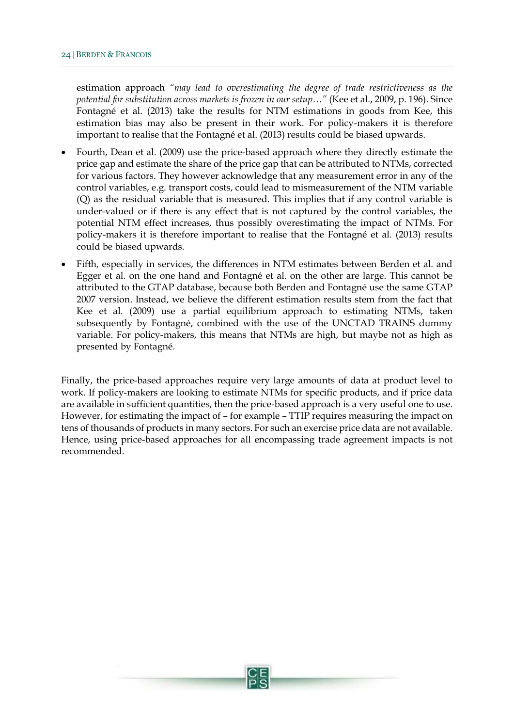estimation approach *"may lead to overestimating the degree of trade restrictiveness as the potential for substitution across markets is frozen in our setup…"* (Kee et al., 2009, p. 196). Since Fontagné et al. (2013) take the results for NTM estimations in goods from Kee, this estimation bias may also be present in their work. For policy-makers it is therefore important to realise that the Fontagné et al. (2013) results could be biased upwards.

- Fourth, Dean et al. (2009) use the price-based approach where they directly estimate the price gap and estimate the share of the price gap that can be attributed to NTMs, corrected for various factors. They however acknowledge that any measurement error in any of the control variables, e.g. transport costs, could lead to mismeasurement of the NTM variable (Q) as the residual variable that is measured. This implies that if any control variable is under-valued or if there is any effect that is not captured by the control variables, the potential NTM effect increases, thus possibly overestimating the impact of NTMs. For policy-makers it is therefore important to realise that the Fontagné et al. (2013) results could be biased upwards.
- Fifth, especially in services, the differences in NTM estimates between Berden et al. and Egger et al. on the one hand and Fontagné et al. on the other are large. This cannot be attributed to the GTAP database, because both Berden and Fontagné use the same GTAP 2007 version. Instead, we believe the different estimation results stem from the fact that Kee et al. (2009) use a partial equilibrium approach to estimating NTMs, taken subsequently by Fontagné, combined with the use of the UNCTAD TRAINS dummy variable. For policy-makers, this means that NTMs are high, but maybe not as high as presented by Fontagné.

Finally, the price-based approaches require very large amounts of data at product level to work. If policy-makers are looking to estimate NTMs for specific products, and if price data are available in sufficient quantities, then the price-based approach is a very useful one to use. However, for estimating the impact of – for example – TTIP requires measuring the impact on tens of thousands of products in many sectors. For such an exercise price data are not available. Hence, using price-based approaches for all encompassing trade agreement impacts is not recommended.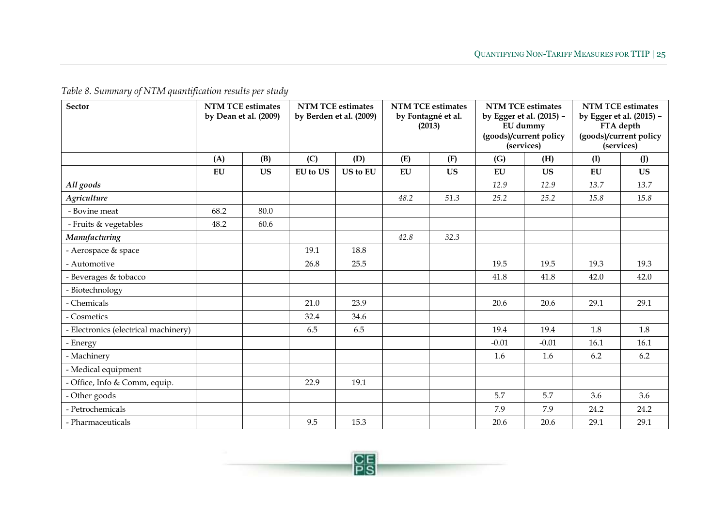*Table 8. Summary of NTM quantification results per study*

| <b>Sector</b>                        | <b>NTM TCE estimates</b><br>by Dean et al. (2009) |           | <b>NTM TCE estimates</b><br>by Berden et al. (2009) |          | <b>NTM TCE estimates</b><br>by Fontagné et al.<br>(2013) |           | <b>NTM TCE estimates</b><br>by Egger et al. (2015) -<br>EU dummy<br>(goods)/current policy<br>(services) |           | <b>NTM TCE estimates</b><br>by Egger et al. (2015) -<br>FTA depth<br>(goods)/current policy<br>(services) |           |
|--------------------------------------|---------------------------------------------------|-----------|-----------------------------------------------------|----------|----------------------------------------------------------|-----------|----------------------------------------------------------------------------------------------------------|-----------|-----------------------------------------------------------------------------------------------------------|-----------|
|                                      | (A)                                               | (B)       | (C)                                                 | (D)      | (E)                                                      | (F)       | (G)                                                                                                      | (H)       | (I)                                                                                                       | (J)       |
|                                      | ${\bf EU}$                                        | <b>US</b> | <b>EU</b> to US                                     | US to EU | EU                                                       | <b>US</b> | EU                                                                                                       | <b>US</b> | EU                                                                                                        | <b>US</b> |
| All goods                            |                                                   |           |                                                     |          |                                                          |           | 12.9                                                                                                     | 12.9      | 13.7                                                                                                      | 13.7      |
| <b>Agriculture</b>                   |                                                   |           |                                                     |          | 48.2                                                     | 51.3      | 25.2                                                                                                     | 25.2      | 15.8                                                                                                      | 15.8      |
| - Bovine meat                        | 68.2                                              | 80.0      |                                                     |          |                                                          |           |                                                                                                          |           |                                                                                                           |           |
| - Fruits & vegetables                | 48.2                                              | 60.6      |                                                     |          |                                                          |           |                                                                                                          |           |                                                                                                           |           |
| Manufacturing                        |                                                   |           |                                                     |          | 42.8                                                     | 32.3      |                                                                                                          |           |                                                                                                           |           |
| - Aerospace & space                  |                                                   |           | 19.1                                                | 18.8     |                                                          |           |                                                                                                          |           |                                                                                                           |           |
| - Automotive                         |                                                   |           | 26.8                                                | 25.5     |                                                          |           | 19.5                                                                                                     | 19.5      | 19.3                                                                                                      | 19.3      |
| - Beverages & tobacco                |                                                   |           |                                                     |          |                                                          |           | 41.8                                                                                                     | 41.8      | 42.0                                                                                                      | 42.0      |
| - Biotechnology                      |                                                   |           |                                                     |          |                                                          |           |                                                                                                          |           |                                                                                                           |           |
| - Chemicals                          |                                                   |           | 21.0                                                | 23.9     |                                                          |           | 20.6                                                                                                     | 20.6      | 29.1                                                                                                      | 29.1      |
| - Cosmetics                          |                                                   |           | 32.4                                                | 34.6     |                                                          |           |                                                                                                          |           |                                                                                                           |           |
| - Electronics (electrical machinery) |                                                   |           | 6.5                                                 | 6.5      |                                                          |           | 19.4                                                                                                     | 19.4      | 1.8                                                                                                       | 1.8       |
| - Energy                             |                                                   |           |                                                     |          |                                                          |           | $-0.01$                                                                                                  | $-0.01$   | 16.1                                                                                                      | 16.1      |
| - Machinery                          |                                                   |           |                                                     |          |                                                          |           | 1.6                                                                                                      | 1.6       | 6.2                                                                                                       | 6.2       |
| - Medical equipment                  |                                                   |           |                                                     |          |                                                          |           |                                                                                                          |           |                                                                                                           |           |
| - Office, Info & Comm, equip.        |                                                   |           | 22.9                                                | 19.1     |                                                          |           |                                                                                                          |           |                                                                                                           |           |
| - Other goods                        |                                                   |           |                                                     |          |                                                          |           | 5.7                                                                                                      | 5.7       | 3.6                                                                                                       | 3.6       |
| - Petrochemicals                     |                                                   |           |                                                     |          |                                                          |           | 7.9                                                                                                      | 7.9       | 24.2                                                                                                      | 24.2      |
| - Pharmaceuticals                    |                                                   |           | 9.5                                                 | 15.3     |                                                          |           | 20.6                                                                                                     | 20.6      | 29.1                                                                                                      | 29.1      |

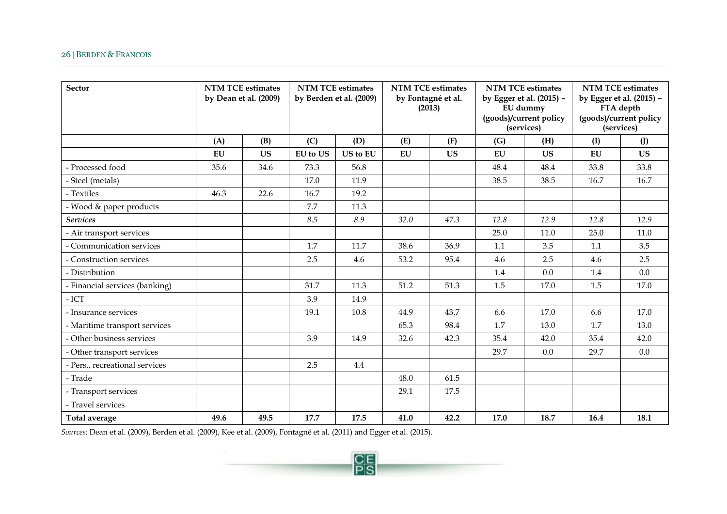## 26 | BERDEN & FRANCOIS

| <b>Sector</b>                  | <b>NTM TCE estimates</b><br>by Dean et al. (2009) |           | <b>NTM TCE estimates</b><br>by Berden et al. (2009) |          | <b>NTM TCE estimates</b><br>by Fontagné et al.<br>(2013) |           | <b>NTM TCE estimates</b><br>by Egger et al. (2015) -<br>EU dummy<br>(goods)/current policy<br>(services) |           | <b>NTM TCE estimates</b><br>by Egger et al. (2015) -<br>FTA depth<br>(goods)/current policy<br>(services) |           |
|--------------------------------|---------------------------------------------------|-----------|-----------------------------------------------------|----------|----------------------------------------------------------|-----------|----------------------------------------------------------------------------------------------------------|-----------|-----------------------------------------------------------------------------------------------------------|-----------|
|                                | (A)                                               | (B)       | (C)                                                 | (D)      | (E)                                                      | (F)       | (G)                                                                                                      | (H)       | (I)                                                                                                       | $($ $J)$  |
|                                | EU                                                | <b>US</b> | <b>EU</b> to US                                     | US to EU | EU                                                       | <b>US</b> | EU                                                                                                       | <b>US</b> | EU                                                                                                        | <b>US</b> |
| - Processed food               | 35.6                                              | 34.6      | 73.3                                                | 56.8     |                                                          |           | 48.4                                                                                                     | 48.4      | 33.8                                                                                                      | 33.8      |
| - Steel (metals)               |                                                   |           | 17.0                                                | 11.9     |                                                          |           | 38.5                                                                                                     | 38.5      | 16.7                                                                                                      | 16.7      |
| - Textiles                     | 46.3                                              | 22.6      | 16.7                                                | 19.2     |                                                          |           |                                                                                                          |           |                                                                                                           |           |
| - Wood & paper products        |                                                   |           | 7.7                                                 | 11.3     |                                                          |           |                                                                                                          |           |                                                                                                           |           |
| <b>Services</b>                |                                                   |           | 8.5                                                 | 8.9      | 32.0                                                     | 47.3      | 12.8                                                                                                     | 12.9      | 12.8                                                                                                      | 12.9      |
| - Air transport services       |                                                   |           |                                                     |          |                                                          |           | 25.0                                                                                                     | 11.0      | 25.0                                                                                                      | 11.0      |
| - Communication services       |                                                   |           | 1.7                                                 | 11.7     | 38.6                                                     | 36.9      | 1.1                                                                                                      | 3.5       | 1.1                                                                                                       | 3.5       |
| - Construction services        |                                                   |           | 2.5                                                 | 4.6      | 53.2                                                     | 95.4      | 4.6                                                                                                      | 2.5       | 4.6                                                                                                       | 2.5       |
| - Distribution                 |                                                   |           |                                                     |          |                                                          |           | 1.4                                                                                                      | 0.0       | 1.4                                                                                                       | 0.0       |
| - Financial services (banking) |                                                   |           | 31.7                                                | 11.3     | 51.2                                                     | 51.3      | 1.5                                                                                                      | 17.0      | 1.5                                                                                                       | 17.0      |
| $-$ ICT                        |                                                   |           | 3.9                                                 | 14.9     |                                                          |           |                                                                                                          |           |                                                                                                           |           |
| - Insurance services           |                                                   |           | 19.1                                                | 10.8     | 44.9                                                     | 43.7      | 6.6                                                                                                      | 17.0      | 6.6                                                                                                       | 17.0      |
| - Maritime transport services  |                                                   |           |                                                     |          | 65.3                                                     | 98.4      | 1.7                                                                                                      | 13.0      | 1.7                                                                                                       | 13.0      |
| - Other business services      |                                                   |           | 3.9                                                 | 14.9     | 32.6                                                     | 42.3      | 35.4                                                                                                     | 42.0      | 35.4                                                                                                      | 42.0      |
| - Other transport services     |                                                   |           |                                                     |          |                                                          |           | 29.7                                                                                                     | 0.0       | 29.7                                                                                                      | 0.0       |
| - Pers., recreational services |                                                   |           | 2.5                                                 | 4.4      |                                                          |           |                                                                                                          |           |                                                                                                           |           |
| - Trade                        |                                                   |           |                                                     |          | 48.0                                                     | 61.5      |                                                                                                          |           |                                                                                                           |           |
| - Transport services           |                                                   |           |                                                     |          | 29.1                                                     | 17.5      |                                                                                                          |           |                                                                                                           |           |
| - Travel services              |                                                   |           |                                                     |          |                                                          |           |                                                                                                          |           |                                                                                                           |           |
| Total average                  | 49.6                                              | 49.5      | 17.7                                                | 17.5     | 41.0                                                     | 42.2      | 17.0                                                                                                     | 18.7      | 16.4                                                                                                      | 18.1      |

 $\frac{CE}{PS}$ 

*Sources:* Dean et al. (2009), Berden et al. (2009), Kee et al. (2009), Fontagné et al. (2011) and Egger et al. (2015).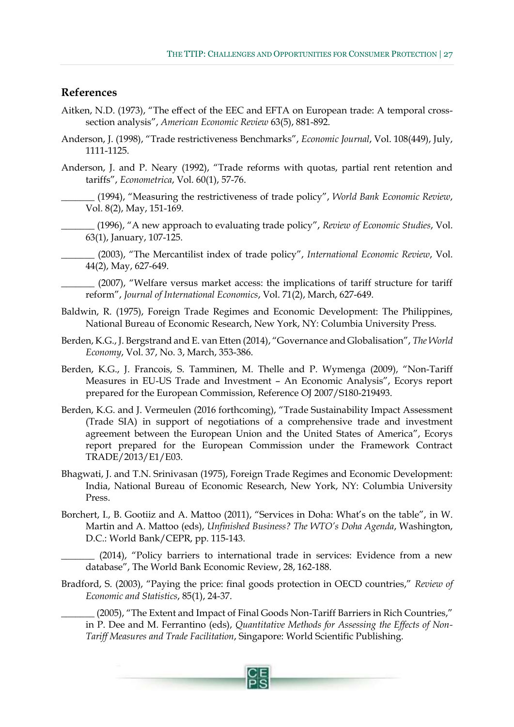#### <span id="page-28-0"></span>**References**

- Aitken, N.D. (1973), "The effect of the EEC and EFTA on European trade: A temporal crosssection analysis", *American Economic Review* 63(5), 881-892.
- Anderson, J. (1998), "Trade restrictiveness Benchmarks", *Economic Journal*, Vol. 108(449), July, 1111-1125.
- Anderson, J. and P. Neary (1992), "Trade reforms with quotas, partial rent retention and tariffs", *Econometrica*, Vol. 60(1), 57-76.
- \_\_\_\_\_\_\_ (1994), "Measuring the restrictiveness of trade policy", *World Bank Economic Review*, Vol. 8(2), May, 151-169.
- \_\_\_\_\_\_\_ (1996), "A new approach to evaluating trade policy", *Review of Economic Studies*, Vol. 63(1), January, 107-125.
	- \_\_\_\_\_\_\_ (2003), "The Mercantilist index of trade policy", *International Economic Review*, Vol. 44(2), May, 627-649.
		- (2007), "Welfare versus market access: the implications of tariff structure for tariff reform", *Journal of International Economics*, Vol. 71(2), March, 627-649.
- Baldwin, R. (1975), Foreign Trade Regimes and Economic Development: The Philippines, National Bureau of Economic Research, New York, NY: Columbia University Press.
- Berden, K.G., J. Bergstrand and E. van Etten (2014), "Governance and Globalisation", *The World Economy*, Vol. 37, No. 3, March, 353-386.
- Berden, K.G., J. Francois, S. Tamminen, M. Thelle and P. Wymenga (2009), "Non-Tariff Measures in EU-US Trade and Investment – An Economic Analysis", Ecorys report prepared for the European Commission, Reference OJ 2007/S180-219493.
- Berden, K.G. and J. Vermeulen (2016 forthcoming), "Trade Sustainability Impact Assessment (Trade SIA) in support of negotiations of a comprehensive trade and investment agreement between the European Union and the United States of America", Ecorys report prepared for the European Commission under the Framework Contract TRADE/2013/E1/E03.
- Bhagwati, J. and T.N. Srinivasan (1975), Foreign Trade Regimes and Economic Development: India, National Bureau of Economic Research, New York, NY: Columbia University Press.
- Borchert, I., B. Gootiiz and A. Mattoo (2011), "Services in Doha: What's on the table", in W. Martin and A. Mattoo (eds), *Unfinished Business? The WTO's Doha Agenda*, Washington, D.C.: World Bank/CEPR, pp. 115-143.

\_\_\_\_\_\_\_ (2014), "Policy barriers to international trade in services: Evidence from a new database", The World Bank Economic Review, 28, 162-188.

Bradford, S. (2003), "Paying the price: final goods protection in OECD countries," *Review of Economic and Statistics*, 85(1), 24-37.

\_\_\_\_\_\_\_ (2005), "The Extent and Impact of Final Goods Non-Tariff Barriers in Rich Countries," in P. Dee and M. Ferrantino (eds), *Quantitative Methods for Assessing the Effects of Non-Tariff Measures and Trade Facilitation*, Singapore: World Scientific Publishing.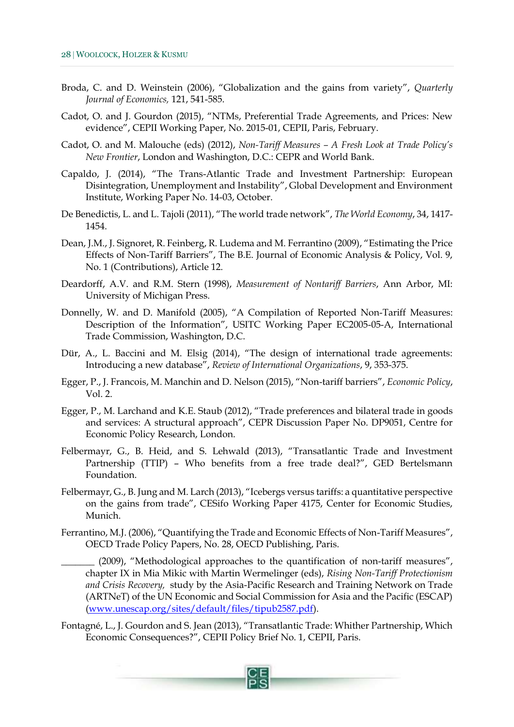- Broda, C. and D. Weinstein (2006), "Globalization and the gains from variety", *Quarterly Journal of Economics,* 121, 541-585.
- Cadot, O. and J. Gourdon (2015), "NTMs, Preferential Trade Agreements, and Prices: New evidence", CEPII Working Paper, No. 2015-01, CEPII, Paris, February.
- Cadot, O. and M. Malouche (eds) (2012), *Non-Tariff Measures – A Fresh Look at Trade Policy's New Frontier*, London and Washington, D.C.: CEPR and World Bank.
- Capaldo, J. (2014), "The Trans-Atlantic Trade and Investment Partnership: European Disintegration, Unemployment and Instability", Global Development and Environment Institute, Working Paper No. 14-03, October.
- De Benedictis, L. and L. Tajoli (2011), "The world trade network", *The World Economy*, 34, 1417- 1454.
- Dean, J.M., J. Signoret, R. Feinberg, R. Ludema and M. Ferrantino (2009), "Estimating the Price Effects of Non-Tariff Barriers", The B.E. Journal of Economic Analysis & Policy, Vol. 9, No. 1 (Contributions), Article 12.
- Deardorff, A.V. and R.M. Stern (1998), *Measurement of Nontariff Barriers*, Ann Arbor, MI: University of Michigan Press.
- Donnelly, W. and D. Manifold (2005), "A Compilation of Reported Non-Tariff Measures: Description of the Information", USITC Working Paper EC2005-05-A, International Trade Commission, Washington, D.C.
- Dür, A., L. Baccini and M. Elsig (2014), "The design of international trade agreements: Introducing a new database", *Review of International Organizations*, 9, 353-375.
- Egger, P., J. Francois, M. Manchin and D. Nelson (2015), "Non-tariff barriers", *Economic Policy*, Vol. 2.
- Egger, P., M. Larchand and K.E. Staub (2012), "Trade preferences and bilateral trade in goods and services: A structural approach", CEPR Discussion Paper No. DP9051, Centre for Economic Policy Research, London.
- Felbermayr, G., B. Heid, and S. Lehwald (2013), "Transatlantic Trade and Investment Partnership (TTIP) – Who benefits from a free trade deal?", GED Bertelsmann Foundation.
- Felbermayr, G., B. Jung and M. Larch (2013), "Icebergs versus tariffs: a quantitative perspective on the gains from trade", CESifo Working Paper 4175, Center for Economic Studies, Munich.
- Ferrantino, M.J. (2006), "Quantifying the Trade and Economic Effects of Non-Tariff Measures", OECD Trade Policy Papers, No. 28, OECD Publishing, Paris.
	- (2009), "Methodological approaches to the quantification of non-tariff measures", chapter IX in Mia Mikic with Martin Wermelinger (eds), *Rising Non-Tariff Protectionism and Crisis Recovery,* study by the Asia-Pacific Research and Training Network on Trade (ARTNeT) of the UN Economic and Social Commission for Asia and the Pacific (ESCAP) [\(www.unescap.org/sites/default/files/tipub2587.pdf\)](http://www.unescap.org/sites/default/files/tipub2587.pdf).
- Fontagné, L., J. Gourdon and S. Jean (2013), "Transatlantic Trade: Whither Partnership, Which Economic Consequences?", CEPII Policy Brief No. 1, CEPII, Paris.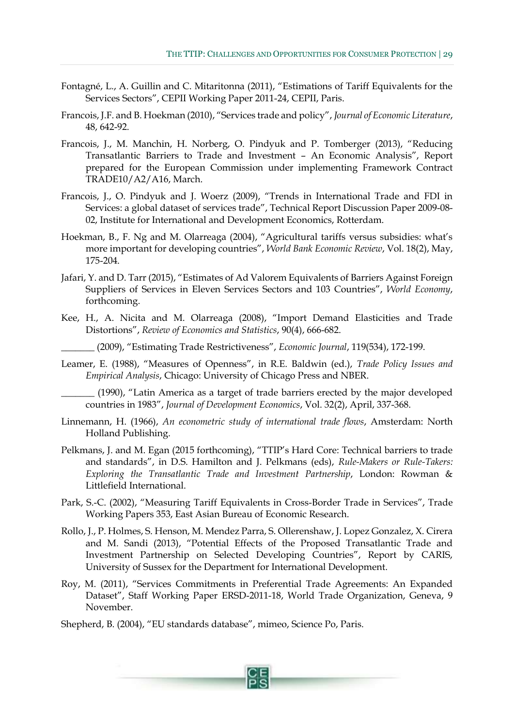- Fontagné, L., A. Guillin and C. Mitaritonna (2011), "Estimations of Tariff Equivalents for the Services Sectors", CEPII Working Paper 2011-24, CEPII, Paris.
- Francois, J.F. and B. Hoekman (2010), "Services trade and policy", *Journal of Economic Literature*, 48, 642-92.
- Francois, J., M. Manchin, H. Norberg, O. Pindyuk and P. Tomberger (2013), "Reducing Transatlantic Barriers to Trade and Investment – An Economic Analysis", Report prepared for the European Commission under implementing Framework Contract TRADE10/A2/A16, March.
- Francois, J., O. Pindyuk and J. Woerz (2009), "Trends in International Trade and FDI in Services: a global dataset of services trade", Technical Report Discussion Paper 2009-08- 02, Institute for International and Development Economics, Rotterdam.
- Hoekman, B., F. Ng and M. Olarreaga (2004), "Agricultural tariffs versus subsidies: what's more important for developing countries", *World Bank Economic Review*, Vol. 18(2), May, 175-204.
- Jafari, Y. and D. Tarr (2015), "Estimates of Ad Valorem Equivalents of Barriers Against Foreign Suppliers of Services in Eleven Services Sectors and 103 Countries", *World Economy*, forthcoming.
- Kee, H., A. Nicita and M. Olarreaga (2008), "Import Demand Elasticities and Trade Distortions", *Review of Economics and Statistics*, 90(4), 666-682.
	- \_\_\_\_\_\_\_ (2009), "Estimating Trade Restrictiveness", *Economic Journal*, 119(534), 172-199.
- Leamer, E. (1988), "Measures of Openness", in R.E. Baldwin (ed.), *Trade Policy Issues and Empirical Analysis*, Chicago: University of Chicago Press and NBER.

(1990), "Latin America as a target of trade barriers erected by the major developed countries in 1983", *Journal of Development Economics*, Vol. 32(2), April, 337-368.

- Linnemann, H. (1966), *An econometric study of international trade flows*, Amsterdam: North Holland Publishing.
- Pelkmans, J. and M. Egan (2015 forthcoming), "TTIP's Hard Core: Technical barriers to trade and standards", in D.S. Hamilton and J. Pelkmans (eds), *Rule-Makers or Rule-Takers: Exploring the Transatlantic Trade and Investment Partnership*, London: Rowman & Littlefield International.
- Park, S.-C. (2002), "Measuring Tariff Equivalents in Cross-Border Trade in Services", Trade Working Papers 353, East Asian Bureau of Economic Research.
- Rollo, J., P. Holmes, S. Henson, M. Mendez Parra, S. Ollerenshaw, J. Lopez Gonzalez, X. Cirera and M. Sandi (2013), "Potential Effects of the Proposed Transatlantic Trade and Investment Partnership on Selected Developing Countries", Report by CARIS, University of Sussex for the Department for International Development.
- Roy, M. (2011), "Services Commitments in Preferential Trade Agreements: An Expanded Dataset", Staff Working Paper ERSD-2011-18, World Trade Organization, Geneva, 9 November.

Shepherd, B. (2004), "EU standards database", mimeo, Science Po, Paris.